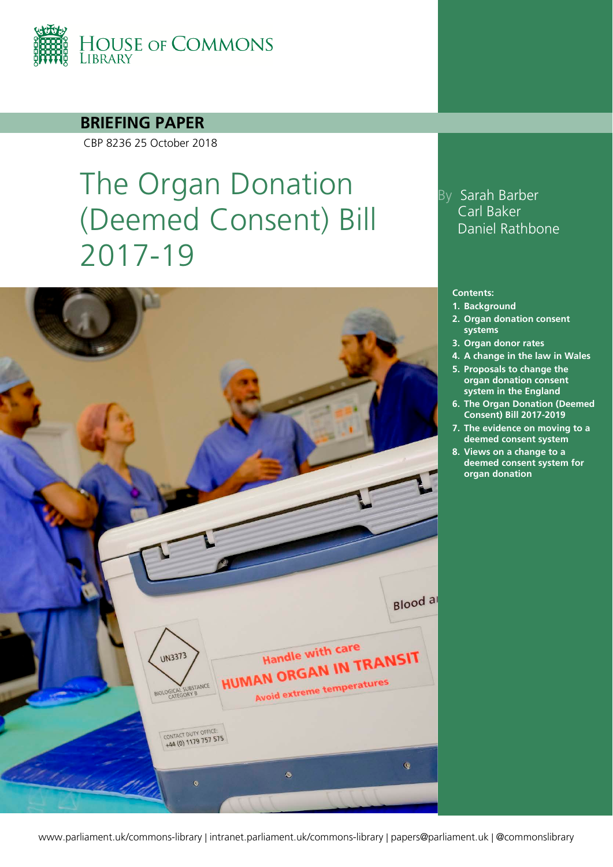

**BRIEFING PAPER**

CBP 8236 25 October 2018

# The Organ Donation (Deemed Consent) Bill 2017-19



## By Sarah Barber Carl Baker Daniel Rathbone

#### **Contents:**

- **1. [Background](#page-3-0)**
- **2. [Organ donation consent](#page-7-0)  [systems](#page-7-0)**
- **3. [Organ donor rates](#page-10-0)**
- **4. [A change in the law in Wales](#page-12-0)**
- **5. [Proposals to change the](#page-14-0)  [organ donation consent](#page-14-0)  [system in the England](#page-14-0)**
- **6. [The Organ Donation \(Deemed](#page-19-0)  [Consent\) Bill 2017-2019](#page-19-0)**
- **7. [The evidence on moving to a](#page-24-0)  [deemed consent system](#page-24-0)**
- **8. [Views on a change to a](#page-29-0)  [deemed consent system for](#page-29-0)  [organ donation](#page-29-0)**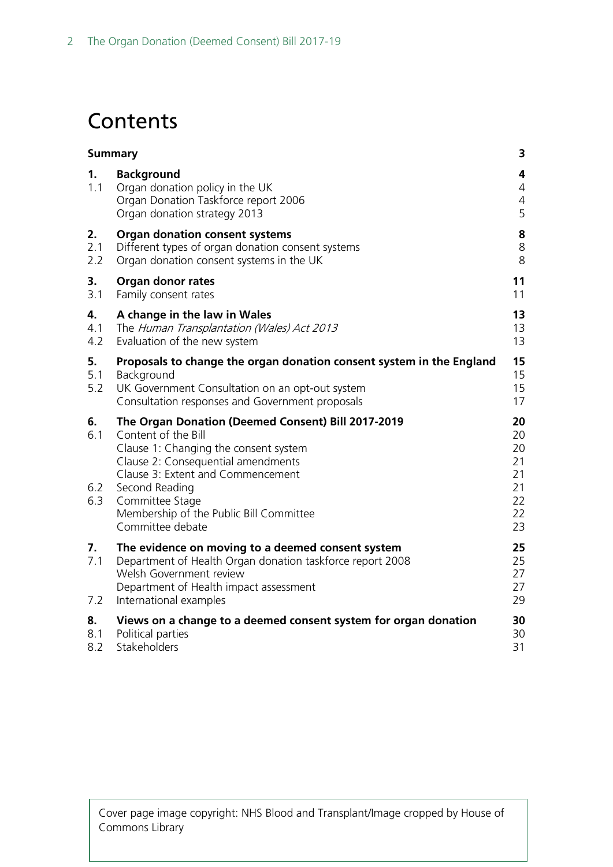# **Contents**

| <b>Summary</b>          |                                                                                                                                                                                                                                                                                                   | 3                                                  |
|-------------------------|---------------------------------------------------------------------------------------------------------------------------------------------------------------------------------------------------------------------------------------------------------------------------------------------------|----------------------------------------------------|
| 1.<br>1.1               | <b>Background</b><br>Organ donation policy in the UK<br>Organ Donation Taskforce report 2006<br>Organ donation strategy 2013                                                                                                                                                                      | 4<br>4<br>$\overline{4}$<br>5                      |
| 2.<br>2.1<br>2.2        | <b>Organ donation consent systems</b><br>Different types of organ donation consent systems<br>Organ donation consent systems in the UK                                                                                                                                                            | 8<br>8<br>8                                        |
| 3.<br>3.1               | Organ donor rates<br>Family consent rates                                                                                                                                                                                                                                                         | 11<br>11                                           |
| 4.<br>4.1<br>4.2        | A change in the law in Wales<br>The Human Transplantation (Wales) Act 2013<br>Evaluation of the new system                                                                                                                                                                                        | 13<br>13<br>13                                     |
| 5.<br>5.1<br>5.2        | Proposals to change the organ donation consent system in the England<br>Background<br>UK Government Consultation on an opt-out system<br>Consultation responses and Government proposals                                                                                                          | 15<br>15<br>15<br>17                               |
| 6.<br>6.1<br>6.2<br>6.3 | The Organ Donation (Deemed Consent) Bill 2017-2019<br>Content of the Bill<br>Clause 1: Changing the consent system<br>Clause 2: Consequential amendments<br>Clause 3: Extent and Commencement<br>Second Reading<br>Committee Stage<br>Membership of the Public Bill Committee<br>Committee debate | 20<br>20<br>20<br>21<br>21<br>21<br>22<br>22<br>23 |
| 7.<br>7.1<br>7.2        | The evidence on moving to a deemed consent system<br>Department of Health Organ donation taskforce report 2008<br>Welsh Government review<br>Department of Health impact assessment<br>International examples                                                                                     | 25<br>25<br>27<br>27<br>29                         |
| 8.<br>8.1<br>8.2        | Views on a change to a deemed consent system for organ donation<br>Political parties<br>Stakeholders                                                                                                                                                                                              | 30<br>30<br>31                                     |

Cover page image copyright: NHS Blood and Transplant/Image cropped by House of Commons Library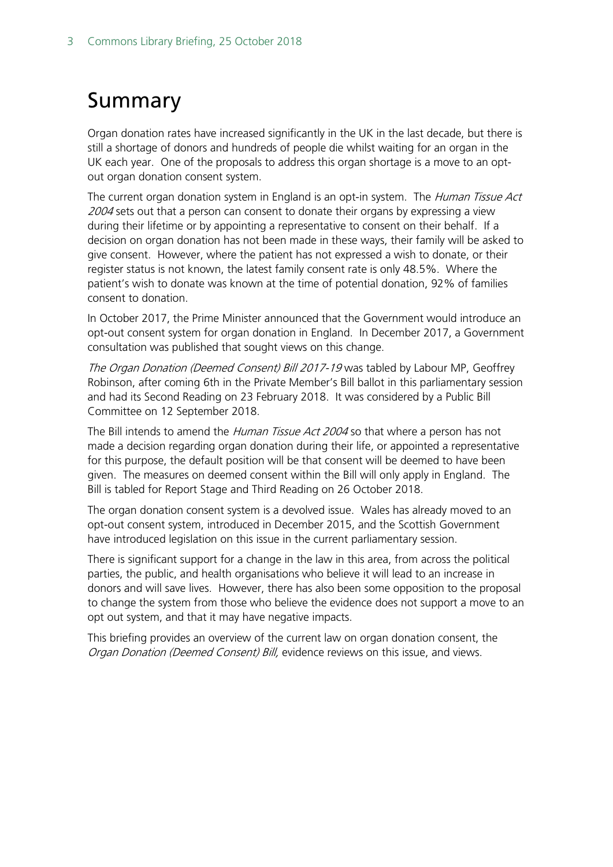# <span id="page-2-0"></span>Summary

Organ donation rates have increased significantly in the UK in the last decade, but there is still a shortage of donors and hundreds of people die whilst waiting for an organ in the UK each year. One of the proposals to address this organ shortage is a move to an optout organ donation consent system.

The current organ donation system in England is an opt-in system. The Human Tissue Act 2004 sets out that a person can consent to donate their organs by expressing a view during their lifetime or by appointing a representative to consent on their behalf. If a decision on organ donation has not been made in these ways, their family will be asked to give consent. However, where the patient has not expressed a wish to donate, or their register status is not known, the latest family consent rate is only 48.5%. Where the patient's wish to donate was known at the time of potential donation, 92% of families consent to donation.

In October 2017, the Prime Minister announced that the Government would introduce an opt-out consent system for organ donation in England. In December 2017, a Government consultation was published that sought views on this change.

The Organ Donation (Deemed Consent) Bill 2017-19 was tabled by Labour MP, Geoffrey Robinson, after coming 6th in the Private Member's Bill ballot in this parliamentary session and had its Second Reading on 23 February 2018. It was considered by a Public Bill Committee on 12 September 2018.

The Bill intends to amend the *Human Tissue Act 2004* so that where a person has not made a decision regarding organ donation during their life, or appointed a representative for this purpose, the default position will be that consent will be deemed to have been given. The measures on deemed consent within the Bill will only apply in England. The Bill is tabled for Report Stage and Third Reading on 26 October 2018.

The organ donation consent system is a devolved issue. Wales has already moved to an opt-out consent system, introduced in December 2015, and the Scottish Government have introduced legislation on this issue in the current parliamentary session.

There is significant support for a change in the law in this area, from across the political parties, the public, and health organisations who believe it will lead to an increase in donors and will save lives. However, there has also been some opposition to the proposal to change the system from those who believe the evidence does not support a move to an opt out system, and that it may have negative impacts.

This briefing provides an overview of the current law on organ donation consent, the Organ Donation (Deemed Consent) Bill, evidence reviews on this issue, and views.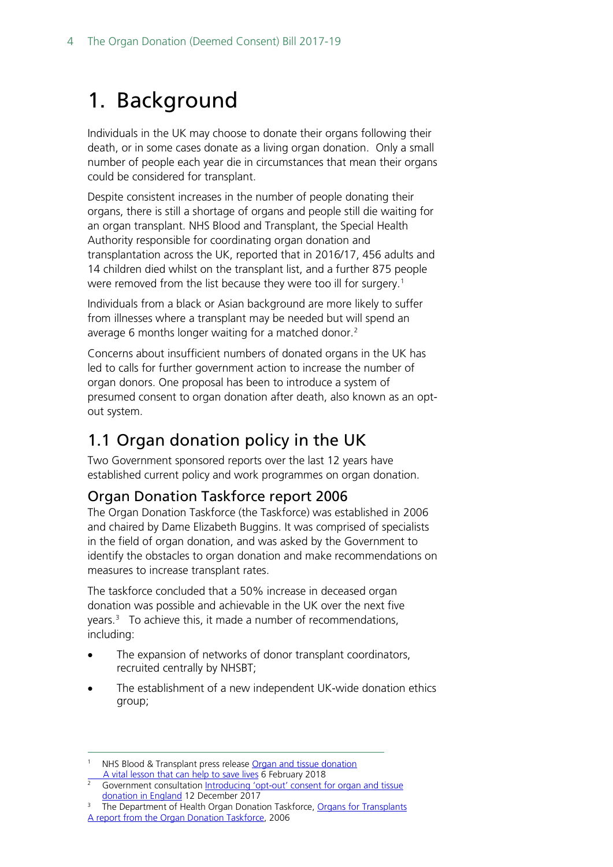# <span id="page-3-0"></span>1. Background

Individuals in the UK may choose to donate their organs following their death, or in some cases donate as a living organ donation. Only a small number of people each year die in circumstances that mean their organs could be considered for transplant.

Despite consistent increases in the number of people donating their organs, there is still a shortage of organs and people still die waiting for an organ transplant. NHS Blood and Transplant, the Special Health Authority responsible for coordinating organ donation and transplantation across the UK, reported that in 2016/17, 456 adults and 14 children died whilst on the transplant list, and a further 875 people were removed from the list because they were too ill for surgery.<sup>[1](#page-3-3)</sup>

Individuals from a black or Asian background are more likely to suffer from illnesses where a transplant may be needed but will spend an average 6 months longer waiting for a matched donor. [2](#page-3-4)

Concerns about insufficient numbers of donated organs in the UK has led to calls for further government action to increase the number of organ donors. One proposal has been to introduce a system of presumed consent to organ donation after death, also known as an optout system.

# <span id="page-3-1"></span>1.1 Organ donation policy in the UK

Two Government sponsored reports over the last 12 years have established current policy and work programmes on organ donation.

## <span id="page-3-2"></span>Organ Donation Taskforce report 2006

The Organ Donation Taskforce (the Taskforce) was established in 2006 and chaired by Dame Elizabeth Buggins. It was comprised of specialists in the field of organ donation, and was asked by the Government to identify the obstacles to organ donation and make recommendations on measures to increase transplant rates.

The taskforce concluded that a 50% increase in deceased organ donation was possible and achievable in the UK over the next five years[.3](#page-3-5) To achieve this, it made a number of recommendations, including:

- The expansion of networks of donor transplant coordinators, recruited centrally by NHSBT;
- The establishment of a new independent UK-wide donation ethics group;

<span id="page-3-3"></span>NHS Blood & Transplant press releas[e Organ and tissue donation](https://www.nhsbt.nhs.uk/media/news/organ-and-tissue-donation-a-vital-lesson-that-can-help-to-save-lives/)<br>A vital lesson that can help to save lives 6 February 2018

<span id="page-3-4"></span>Government consultation Introducing 'opt-out' consent for organ and tissue [donation in England](https://www.gov.uk/government/consultations/introducing-opt-out-consent-for-organ-and-tissue-donation-in-england) 12 December 2017

<span id="page-3-5"></span><sup>&</sup>lt;sup>3</sup> The Department of Health Organ Donation Taskforce, [Organs for Transplants](https://nhsbtdbe.blob.core.windows.net/umbraco-assets-corp/4245/organsfortransplantstheorgandonortaskforce1streport.pdf) [A report from the Organ Donation Taskforce,](https://nhsbtdbe.blob.core.windows.net/umbraco-assets-corp/4245/organsfortransplantstheorgandonortaskforce1streport.pdf) 2006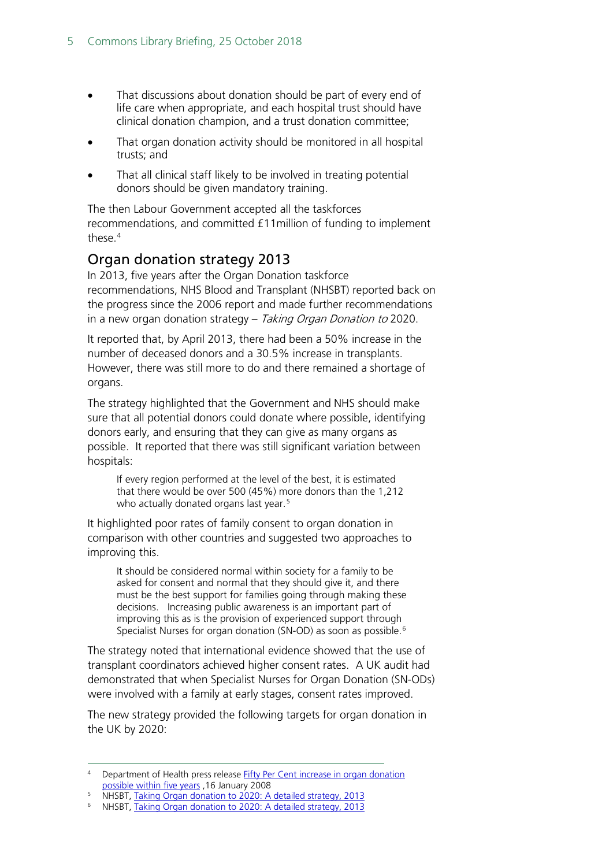- That discussions about donation should be part of every end of life care when appropriate, and each hospital trust should have clinical donation champion, and a trust donation committee;
- That organ donation activity should be monitored in all hospital trusts; and
- That all clinical staff likely to be involved in treating potential donors should be given mandatory training.

The then Labour Government accepted all the taskforces recommendations, and committed £11million of funding to implement these.[4](#page-4-1)

## <span id="page-4-0"></span>Organ donation strategy 2013

In 2013, five years after the Organ Donation taskforce recommendations, NHS Blood and Transplant (NHSBT) reported back on the progress since the 2006 report and made further recommendations in a new organ donation strategy – Taking Organ Donation to 2020.

It reported that, by April 2013, there had been a 50% increase in the number of deceased donors and a 30.5% increase in transplants. However, there was still more to do and there remained a shortage of organs.

The strategy highlighted that the Government and NHS should make sure that all potential donors could donate where possible, identifying donors early, and ensuring that they can give as many organs as possible. It reported that there was still significant variation between hospitals:

If every region performed at the level of the best, it is estimated that there would be over 500 (45%) more donors than the 1,212 who actually donated organs last year.<sup>[5](#page-4-2)</sup>

It highlighted poor rates of family consent to organ donation in comparison with other countries and suggested two approaches to improving this.

It should be considered normal within society for a family to be asked for consent and normal that they should give it, and there must be the best support for families going through making these decisions. Increasing public awareness is an important part of improving this as is the provision of experienced support through Specialist Nurses for organ donation (SN-OD) as soon as possible.<sup>[6](#page-4-3)</sup>

The strategy noted that international evidence showed that the use of transplant coordinators achieved higher consent rates. A UK audit had demonstrated that when Specialist Nurses for Organ Donation (SN-ODs) were involved with a family at early stages, consent rates improved.

The new strategy provided the following targets for organ donation in the UK by 2020:

<span id="page-4-1"></span> <sup>4</sup> Department of Health press releas[e Fifty Per Cent increase in organ donation](https://www.wired-gov.net/wg/wg-news-1.nsf/0/BE1F9BB88F335925802573D20039B860?OpenDocument)  [possible within five years](https://www.wired-gov.net/wg/wg-news-1.nsf/0/BE1F9BB88F335925802573D20039B860?OpenDocument) ,16 January 2008

<span id="page-4-2"></span><sup>5</sup> NHSBT, [Taking Organ donation to 2020: A detailed strategy, 2013](http://www.nhsbt.nhs.uk/to2020/resources/nhsbt_organ_donor_strategy_long.pdf)

<span id="page-4-3"></span><sup>6</sup> NHSBT, [Taking Organ donation to 2020: A detailed strategy, 2013](http://www.nhsbt.nhs.uk/to2020/resources/nhsbt_organ_donor_strategy_long.pdf)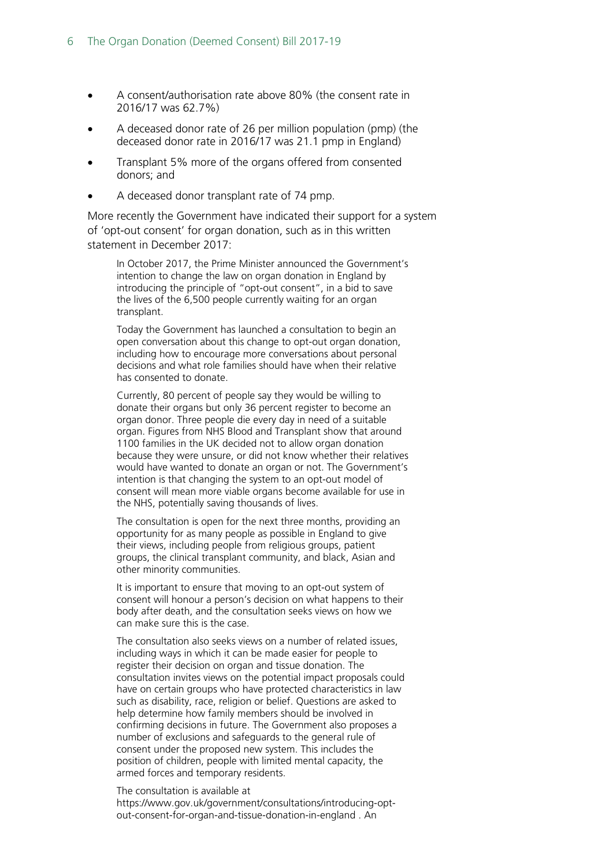- A consent/authorisation rate above 80% (the consent rate in 2016/17 was 62.7%)
- A deceased donor rate of 26 per million population (pmp) (the deceased donor rate in 2016/17 was 21.1 pmp in England)
- Transplant 5% more of the organs offered from consented donors; and
- A deceased donor transplant rate of 74 pmp.

More recently the Government have indicated their support for a system of 'opt-out consent' for organ donation, such as in this written statement in December 2017:

In October 2017, the Prime Minister announced the Government's intention to change the law on organ donation in England by introducing the principle of "opt-out consent", in a bid to save the lives of the 6,500 people currently waiting for an organ transplant.

Today the Government has launched a consultation to begin an open conversation about this change to opt-out organ donation, including how to encourage more conversations about personal decisions and what role families should have when their relative has consented to donate.

Currently, 80 percent of people say they would be willing to donate their organs but only 36 percent register to become an organ donor. Three people die every day in need of a suitable organ. Figures from NHS Blood and Transplant show that around 1100 families in the UK decided not to allow organ donation because they were unsure, or did not know whether their relatives would have wanted to donate an organ or not. The Government's intention is that changing the system to an opt-out model of consent will mean more viable organs become available for use in the NHS, potentially saving thousands of lives.

The consultation is open for the next three months, providing an opportunity for as many people as possible in England to give their views, including people from religious groups, patient groups, the clinical transplant community, and black, Asian and other minority communities.

It is important to ensure that moving to an opt-out system of consent will honour a person's decision on what happens to their body after death, and the consultation seeks views on how we can make sure this is the case.

The consultation also seeks views on a number of related issues, including ways in which it can be made easier for people to register their decision on organ and tissue donation. The consultation invites views on the potential impact proposals could have on certain groups who have protected characteristics in law such as disability, race, religion or belief. Questions are asked to help determine how family members should be involved in confirming decisions in future. The Government also proposes a number of exclusions and safeguards to the general rule of consent under the proposed new system. This includes the position of children, people with limited mental capacity, the armed forces and temporary residents.

#### The consultation is available at

https://www.gov.uk/government/consultations/introducing-optout-consent-for-organ-and-tissue-donation-in-england . An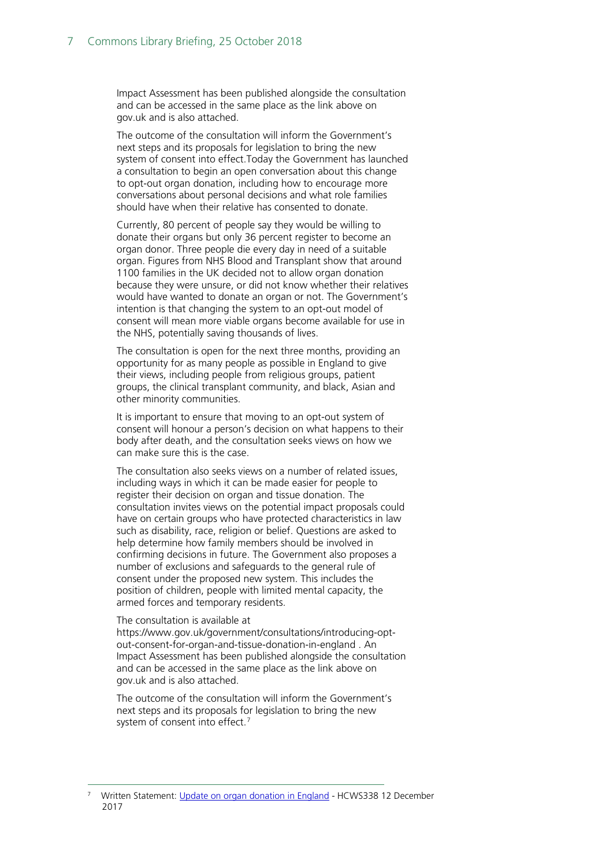Impact Assessment has been published alongside the consultation and can be accessed in the same place as the link above on gov.uk and is also attached.

The outcome of the consultation will inform the Government's next steps and its proposals for legislation to bring the new system of consent into effect.Today the Government has launched a consultation to begin an open conversation about this change to opt-out organ donation, including how to encourage more conversations about personal decisions and what role families should have when their relative has consented to donate.

Currently, 80 percent of people say they would be willing to donate their organs but only 36 percent register to become an organ donor. Three people die every day in need of a suitable organ. Figures from NHS Blood and Transplant show that around 1100 families in the UK decided not to allow organ donation because they were unsure, or did not know whether their relatives would have wanted to donate an organ or not. The Government's intention is that changing the system to an opt-out model of consent will mean more viable organs become available for use in the NHS, potentially saving thousands of lives.

The consultation is open for the next three months, providing an opportunity for as many people as possible in England to give their views, including people from religious groups, patient groups, the clinical transplant community, and black, Asian and other minority communities.

It is important to ensure that moving to an opt-out system of consent will honour a person's decision on what happens to their body after death, and the consultation seeks views on how we can make sure this is the case.

The consultation also seeks views on a number of related issues, including ways in which it can be made easier for people to register their decision on organ and tissue donation. The consultation invites views on the potential impact proposals could have on certain groups who have protected characteristics in law such as disability, race, religion or belief. Questions are asked to help determine how family members should be involved in confirming decisions in future. The Government also proposes a number of exclusions and safeguards to the general rule of consent under the proposed new system. This includes the position of children, people with limited mental capacity, the armed forces and temporary residents.

#### The consultation is available at

[https://www.gov.uk/government/consultations/introducing-opt](https://www.gov.uk/government/consultations/introducing-opt-out-consent-for-organ-and-tissue-donation-in-england)[out-consent-for-organ-and-tissue-donation-in-england](https://www.gov.uk/government/consultations/introducing-opt-out-consent-for-organ-and-tissue-donation-in-england) . An Impact Assessment has been published alongside the consultation and can be accessed in the same place as the link above on gov.uk and is also attached.

The outcome of the consultation will inform the Government's next steps and its proposals for legislation to bring the new system of consent into effect.<sup>[7](#page-6-0)</sup>

<span id="page-6-0"></span> <sup>7</sup> Written Statement: [Update on organ donation in England](http://www.parliament.uk/written-questions-answers-statements/written-statement/Commons/2017-12-12/HCWS338) - HCWS338 12 December 2017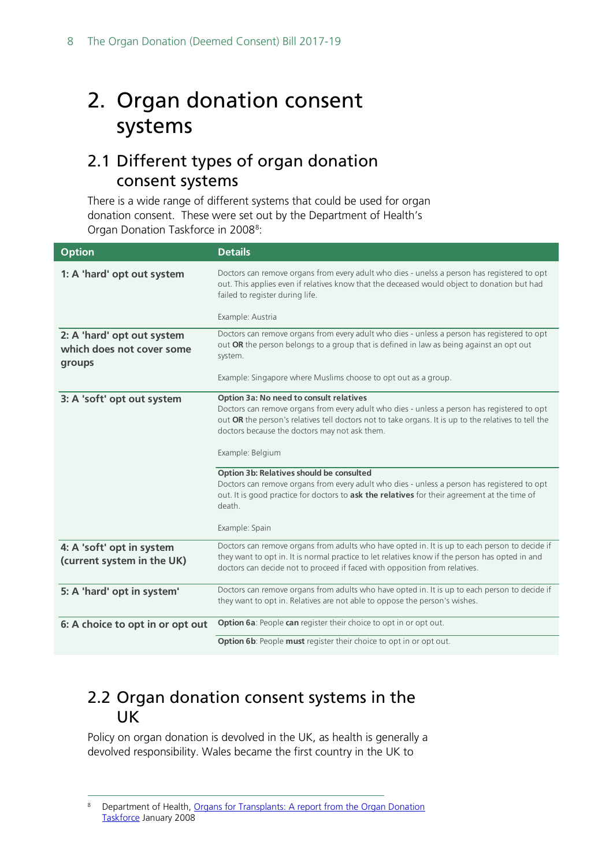# <span id="page-7-0"></span>2. Organ donation consent systems

## <span id="page-7-1"></span>2.1 Different types of organ donation consent systems

There is a wide range of different systems that could be used for organ donation consent. These were set out by the Department of Health's Organ Donation Taskforce in 200[8](#page-7-3)<sup>8</sup>:

| <b>Option</b>                                                     | <b>Details</b>                                                                                                                                                                                                                                                                                                      |
|-------------------------------------------------------------------|---------------------------------------------------------------------------------------------------------------------------------------------------------------------------------------------------------------------------------------------------------------------------------------------------------------------|
| 1: A 'hard' opt out system                                        | Doctors can remove organs from every adult who dies - unelss a person has registered to opt<br>out. This applies even if relatives know that the deceased would object to donation but had<br>failed to register during life.                                                                                       |
|                                                                   | Example: Austria                                                                                                                                                                                                                                                                                                    |
| 2: A 'hard' opt out system<br>which does not cover some<br>groups | Doctors can remove organs from every adult who dies - unless a person has registered to opt<br>out OR the person belongs to a group that is defined in law as being against an opt out<br>system.                                                                                                                   |
|                                                                   | Example: Singapore where Muslims choose to opt out as a group.                                                                                                                                                                                                                                                      |
| 3: A 'soft' opt out system                                        | Option 3a: No need to consult relatives<br>Doctors can remove organs from every adult who dies - unless a person has registered to opt<br>out OR the person's relatives tell doctors not to take organs. It is up to the relatives to tell the<br>doctors because the doctors may not ask them.<br>Example: Belgium |
|                                                                   | Option 3b: Relatives should be consulted<br>Doctors can remove organs from every adult who dies - unless a person has registered to opt<br>out. It is good practice for doctors to ask the relatives for their agreement at the time of<br>death.<br>Example: Spain                                                 |
| 4: A 'soft' opt in system                                         | Doctors can remove organs from adults who have opted in. It is up to each person to decide if                                                                                                                                                                                                                       |
| (current system in the UK)                                        | they want to opt in. It is normal practice to let relatives know if the person has opted in and<br>doctors can decide not to proceed if faced with opposition from relatives.                                                                                                                                       |
| 5: A 'hard' opt in system'                                        | Doctors can remove organs from adults who have opted in. It is up to each person to decide if<br>they want to opt in. Relatives are not able to oppose the person's wishes.                                                                                                                                         |
| 6: A choice to opt in or opt out                                  | Option 6a: People can register their choice to opt in or opt out.                                                                                                                                                                                                                                                   |
|                                                                   | Option 6b: People must register their choice to opt in or opt out.                                                                                                                                                                                                                                                  |

## <span id="page-7-2"></span>2.2 Organ donation consent systems in the UK

Policy on organ donation is devolved in the UK, as health is generally a devolved responsibility. Wales became the first country in the UK to

<span id="page-7-3"></span> <sup>8</sup> Department of Health, [Organs for Transplants: A report from the Organ Donation](https://nhsbtdbe.blob.core.windows.net/umbraco-assets-corp/4245/organsfortransplantstheorgandonortaskforce1streport.pdf)  [Taskforce](https://nhsbtdbe.blob.core.windows.net/umbraco-assets-corp/4245/organsfortransplantstheorgandonortaskforce1streport.pdf) January 2008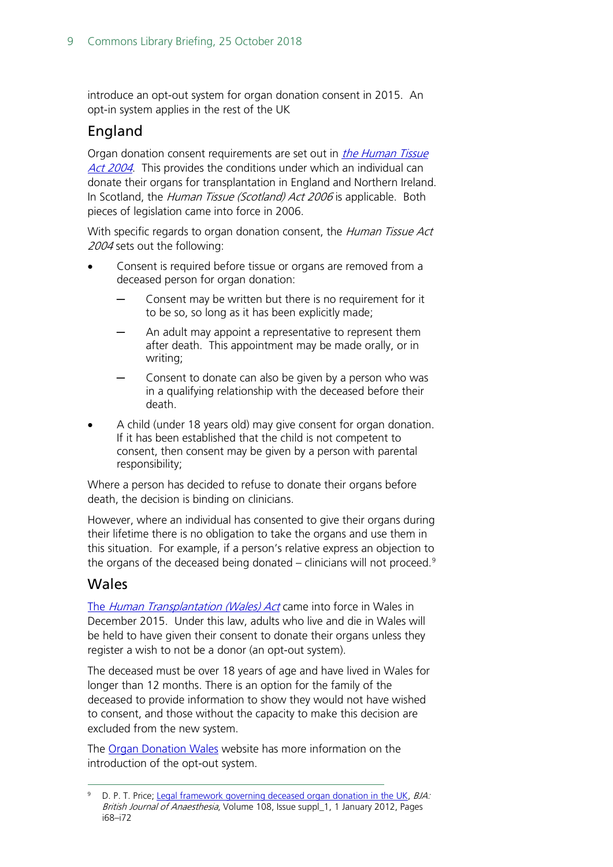introduce an opt-out system for organ donation consent in 2015. An opt-in system applies in the rest of the UK

### England

Organ donation consent requirements are set out in *the Human Tissue* [Act 2004](https://www.legislation.gov.uk/ukpga/2004/30/contents). This provides the conditions under which an individual can donate their organs for transplantation in England and Northern Ireland. In Scotland, the Human Tissue (Scotland) Act 2006 is applicable. Both pieces of legislation came into force in 2006.

With specific regards to organ donation consent, the Human Tissue Act 2004 sets out the following:

- Consent is required before tissue or organs are removed from a deceased person for organ donation:
	- Consent may be written but there is no requirement for it to be so, so long as it has been explicitly made;
	- An adult may appoint a representative to represent them after death. This appointment may be made orally, or in writing;
	- Consent to donate can also be given by a person who was in a qualifying relationship with the deceased before their death.
- A child (under 18 years old) may give consent for organ donation. If it has been established that the child is not competent to consent, then consent may be given by a person with parental responsibility;

Where a person has decided to refuse to donate their organs before death, the decision is binding on clinicians.

However, where an individual has consented to give their organs during their lifetime there is no obligation to take the organs and use them in this situation. For example, if a person's relative express an objection to the organs of the deceased being donated  $-$  clinicians will not proceed.<sup>[9](#page-8-0)</sup>

### Wales

The [Human Transplantation \(Wales\) Act](http://wales.gov.uk/topics/health/nhswales/majorhealth/organ/?lang=en) came into force in Wales in December 2015. Under this law, adults who live and die in Wales will be held to have given their consent to donate their organs unless they register a wish to not be a donor (an opt-out system).

The deceased must be over 18 years of age and have lived in Wales for longer than 12 months. There is an option for the family of the deceased to provide information to show they would not have wished to consent, and those without the capacity to make this decision are excluded from the new system.

The [Organ Donation Wales](http://organdonationwales.org/?skip=1&lang=en) website has more information on the introduction of the opt-out system.

<span id="page-8-0"></span>D. P. T. Price; Legal framework governing deceased organ donation in the UK. BJA: British Journal of Anaesthesia, Volume 108, Issue suppl\_1, 1 January 2012, Pages i68–i72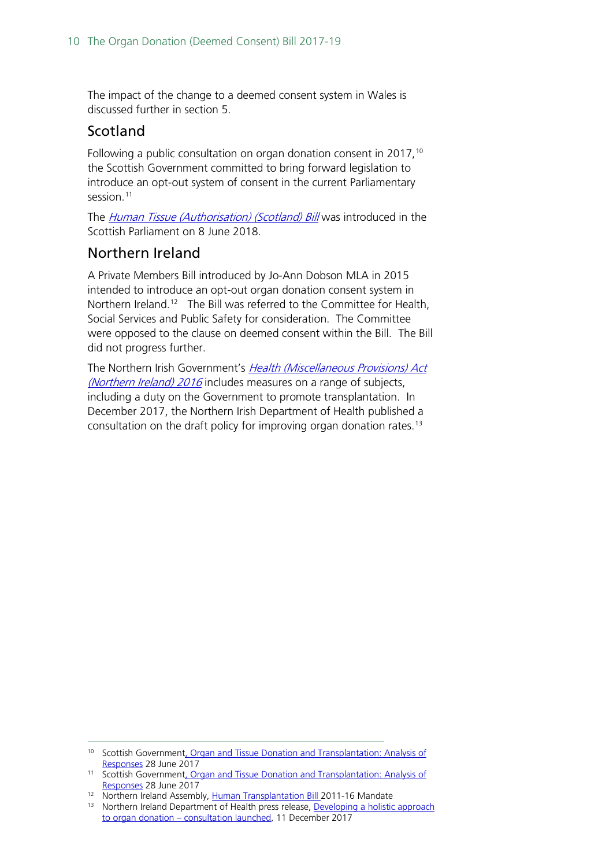The impact of the change to a deemed consent system in Wales is discussed further in section 5.

### Scotland

Following a public consultation on organ donation consent in 2017,<sup>[10](#page-9-0)</sup> the Scottish Government committed to bring forward legislation to introduce an opt-out system of consent in the current Parliamentary session.<sup>[11](#page-9-1)</sup>

The *[Human Tissue \(Authorisation\) \(Scotland\) Bill](http://www.parliament.scot/parliamentarybusiness/Bills/108681.aspx)* was introduced in the Scottish Parliament on 8 June 2018.

### Northern Ireland

A Private Members Bill introduced by Jo-Ann Dobson MLA in 2015 intended to introduce an opt-out organ donation consent system in Northern Ireland.<sup>12</sup> The Bill was referred to the Committee for Health, Social Services and Public Safety for consideration. The Committee were opposed to the clause on deemed consent within the Bill. The Bill did not progress further.

The Northern Irish Government's Health (Miscellaneous Provisions) Act [\(Northern Ireland\) 2016](https://www.legislation.gov.uk/nia/2016/26/contents) includes measures on a range of subjects, including a duty on the Government to promote transplantation. In December 2017, the Northern Irish Department of Health published a consultation on the draft policy for improving organ donation rates.<sup>13</sup>

<span id="page-9-0"></span><sup>&</sup>lt;sup>10</sup> Scottish Government, Organ and Tissue Donation and Transplantation: Analysis of [Responses](http://www.gov.scot/Publications/2017/07/3119) 28 June 2017

<span id="page-9-1"></span><sup>11</sup> Scottish Government, Organ and Tissue Donation and Transplantation: Analysis of [Responses](http://www.gov.scot/Publications/2017/07/3119) 28 June 2017

<span id="page-9-2"></span><sup>&</sup>lt;sup>12</sup> Northern Ireland Assembly, [Human Transplantation Bill 2](http://www.niassembly.gov.uk/assembly-business/legislation/2011-2016-mandate/primary-legislation-current-bills/human-transplantation-bill/)011-16 Mandate

<span id="page-9-3"></span> $13$  Northern Ireland Department of Health press release, Developing a holistic approach to organ donation – [consultation launched,](https://www.health-ni.gov.uk/news/developing-holistic-approach-organ-donation-consultation-launched) 11 December 2017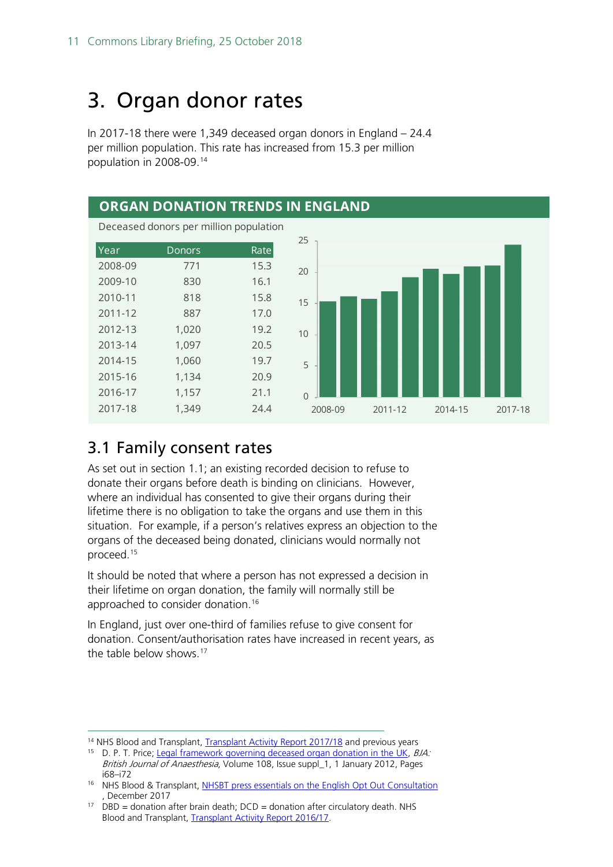# <span id="page-10-0"></span>3. Organ donor rates

In 2017-18 there were 1,349 deceased organ donors in England – 24.4 per million population. This rate has increased from 15.3 per million population in 2008-09.[14](#page-10-2)



# <span id="page-10-1"></span>3.1 Family consent rates

As set out in section 1.1; an existing recorded decision to refuse to donate their organs before death is binding on clinicians. However, where an individual has consented to give their organs during their lifetime there is no obligation to take the organs and use them in this situation. For example, if a person's relatives express an objection to the organs of the deceased being donated, clinicians would normally not proceed[.15](#page-10-3)

It should be noted that where a person has not expressed a decision in their lifetime on organ donation, the family will normally still be approached to consider donation. [16](#page-10-4)

In England, just over one-third of families refuse to give consent for donation. Consent/authorisation rates have increased in recent years, as the table below shows.[17](#page-10-5)

<span id="page-10-2"></span><sup>&</sup>lt;sup>14</sup> NHS Blood and Transplant, [Transplant Activity Report 2017/18](https://www.organdonation.nhs.uk/supporting-my-decision/statistics-about-organ-donation/transplant-activity-report/) and previous years

<span id="page-10-3"></span><sup>&</sup>lt;sup>15</sup> D. P. T. Price; [Legal framework governing deceased organ donation in the UK,](https://academic.oup.com/bja/article/108/suppl_1/i68/237426) BJA: British Journal of Anaesthesia, Volume 108, Issue suppl\_1, 1 January 2012, Pages i68–i72

<span id="page-10-4"></span><sup>&</sup>lt;sup>16</sup> NHS Blood & Transplant, [NHSBT press essentials on the English Opt Out Consultation](https://nhsbtdbe.blob.core.windows.net/umbraco-assets-corp/6097/nhsbt-press-essentials-on-the-english-opt-out-consultation.pdf) , December 2017

<span id="page-10-5"></span><sup>&</sup>lt;sup>17</sup> DBD = donation after brain death;  $DCD =$  donation after circulatory death. NHS Blood and Transplant, [Transplant Activity Report 2016/17.](https://www.organdonation.nhs.uk/supporting-my-decision/statistics-about-organ-donation/transplant-activity-report/)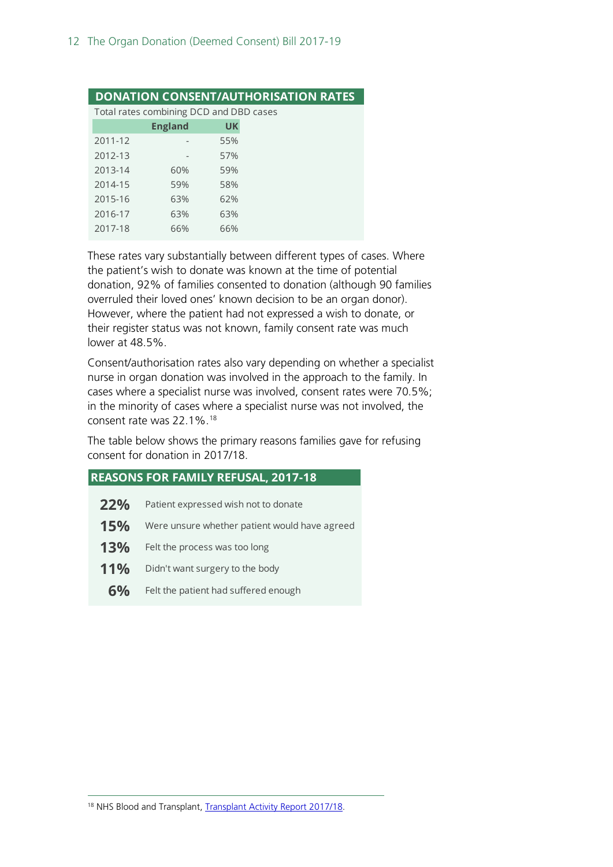|         | <b>DONATION CONSENT/AUTHORISATION RATES</b> |           |
|---------|---------------------------------------------|-----------|
|         | Total rates combining DCD and DBD cases     |           |
|         | <b>England</b>                              | <b>UK</b> |
| 2011-12 |                                             | 55%       |
| 2012-13 |                                             | 57%       |
| 2013-14 | 60%                                         | 59%       |
| 2014-15 | 59%                                         | 58%       |
| 2015-16 | 63%                                         | 62%       |
| 2016-17 | 63%                                         | 63%       |
| 2017-18 | 66%                                         | 66%       |
|         |                                             |           |

These rates vary substantially between different types of cases. Where the patient's wish to donate was known at the time of potential donation, 92% of families consented to donation (although 90 families overruled their loved ones' known decision to be an organ donor). However, where the patient had not expressed a wish to donate, or their register status was not known, family consent rate was much lower at 48.5%.

Consent/authorisation rates also vary depending on whether a specialist nurse in organ donation was involved in the approach to the family. In cases where a specialist nurse was involved, consent rates were 70.5%; in the minority of cases where a specialist nurse was not involved, the consent rate was 22.1%.[18](#page-11-0)

The table below shows the primary reasons families gave for refusing consent for donation in 2017/18.

- 22% Patient expressed wish not to donate
- **15%** Were unsure whether patient would have agreed
- 13% Felt the process was too long
- 11% Didn't want surgery to the body
- <span id="page-11-0"></span>**6%** Felt the patient had suffered enough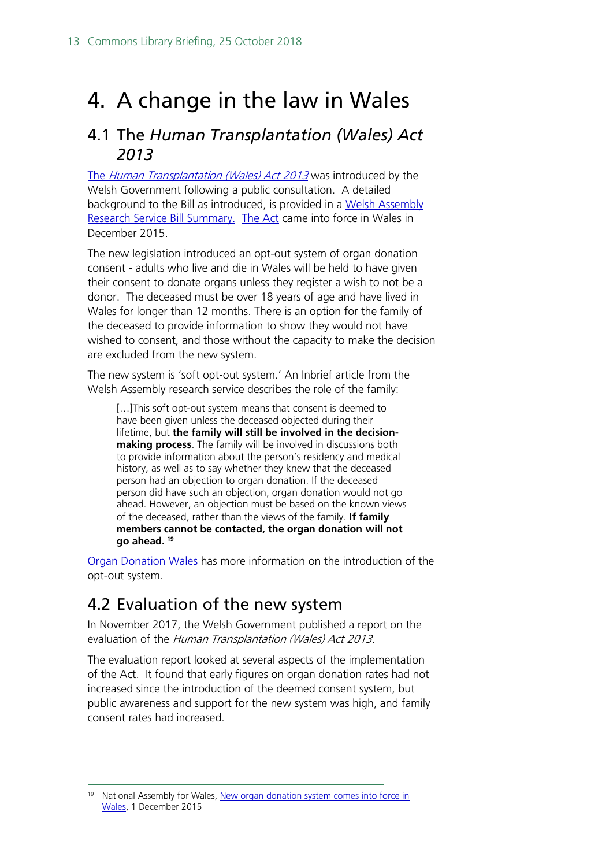# <span id="page-12-0"></span>4. A change in the law in Wales

## <span id="page-12-1"></span>4.1 The *Human Transplantation (Wales) Act 2013*

The [Human Transplantation \(Wales\) Act 2013](https://www.legislation.gov.uk/anaw/2013/5/contents) was introduced by the Welsh Government following a public consultation. A detailed background to the Bill as introduced, is provided in a Welsh Assembly [Research Service Bill Summary.](http://www.assembly.wales/Research%20Documents/Human%20Transplantation%20%28Wales%29%20Bill%20-%20Bill%20Summary-08012013-241915/13-002-English.pdf) [The Act](http://wales.gov.uk/topics/health/nhswales/majorhealth/organ/?lang=en) came into force in Wales in December 2015.

The new legislation introduced an opt-out system of organ donation consent - adults who live and die in Wales will be held to have given their consent to donate organs unless they register a wish to not be a donor. The deceased must be over 18 years of age and have lived in Wales for longer than 12 months. There is an option for the family of the deceased to provide information to show they would not have wished to consent, and those without the capacity to make the decision are excluded from the new system.

The new system is 'soft opt-out system.' An Inbrief article from the Welsh Assembly research service describes the role of the family:

[…]This soft opt-out system means that consent is deemed to have been given unless the deceased objected during their lifetime, but **the family will still be involved in the decisionmaking process**. The family will be involved in discussions both to provide information about the person's residency and medical history, as well as to say whether they knew that the deceased person had an objection to organ donation. If the deceased person did have such an objection, organ donation would not go ahead. However, an objection must be based on the known views of the deceased, rather than the views of the family. **If family members cannot be contacted, the organ donation will not go ahead. [19](#page-12-3)**

[Organ Donation Wales](http://organdonationwales.org/?skip=1&lang=en) has more information on the introduction of the opt-out system.

# <span id="page-12-2"></span>4.2 Evaluation of the new system

In November 2017, the Welsh Government published a report on the evaluation of the Human Transplantation (Wales) Act 2013.

The evaluation report looked at several aspects of the implementation of the Act. It found that early figures on organ donation rates had not increased since the introduction of the deemed consent system, but public awareness and support for the new system was high, and family consent rates had increased.

<span id="page-12-3"></span><sup>&</sup>lt;sup>19</sup> National Assembly for Wales, New organ donation system comes into force in [Wales,](https://seneddresearch.blog/2015/12/01/new-organ-donation-system-comes-into-force-in-wales/) 1 December 2015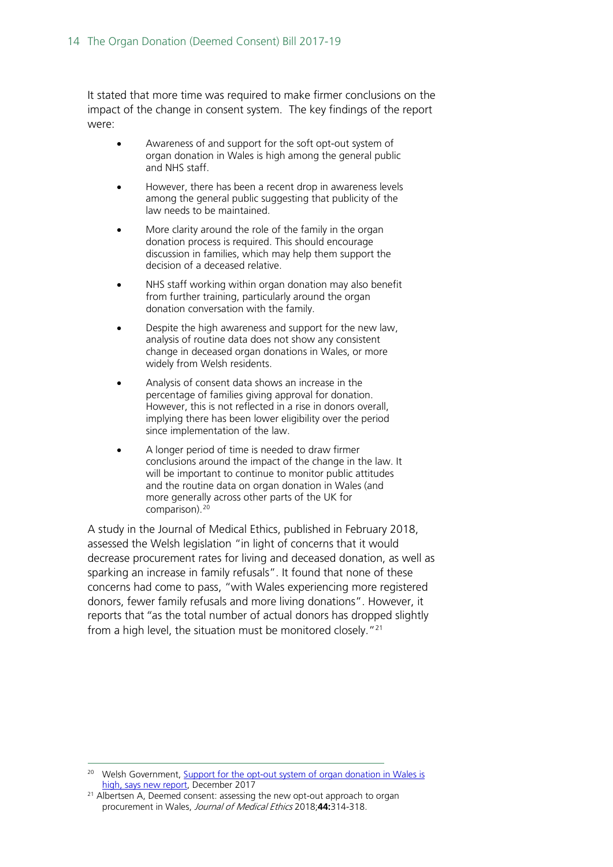It stated that more time was required to make firmer conclusions on the impact of the change in consent system. The key findings of the report were:

- Awareness of and support for the soft opt-out system of organ donation in Wales is high among the general public and NHS staff.
- However, there has been a recent drop in awareness levels among the general public suggesting that publicity of the law needs to be maintained.
- More clarity around the role of the family in the organ donation process is required. This should encourage discussion in families, which may help them support the decision of a deceased relative.
- NHS staff working within organ donation may also benefit from further training, particularly around the organ donation conversation with the family.
- Despite the high awareness and support for the new law, analysis of routine data does not show any consistent change in deceased organ donations in Wales, or more widely from Welsh residents.
- Analysis of consent data shows an increase in the percentage of families giving approval for donation. However, this is not reflected in a rise in donors overall, implying there has been lower eligibility over the period since implementation of the law.
- A longer period of time is needed to draw firmer conclusions around the impact of the change in the law. It will be important to continue to monitor public attitudes and the routine data on organ donation in Wales (and more generally across other parts of the UK for comparison).<sup>[20](#page-13-0)</sup>

A study in the Journal of Medical Ethics, published in February 2018, assessed the Welsh legislation "in light of concerns that it would decrease procurement rates for living and deceased donation, as well as sparking an increase in family refusals". It found that none of these concerns had come to pass, "with Wales experiencing more registered donors, fewer family refusals and more living donations". However, it reports that "as the total number of actual donors has dropped slightly from a high level, the situation must be monitored closely."[21](#page-13-1)

<span id="page-13-0"></span><sup>&</sup>lt;sup>20</sup> Welsh Government, Support for the opt-out system of organ donation in Wales is [high, says new report,](http://gov.wales/newsroom/health-and-social-services/2017/171204report/?lang=en) December 2017

<span id="page-13-1"></span><sup>&</sup>lt;sup>21</sup> Albertsen A, Deemed consent: assessing the new opt-out approach to organ procurement in Wales, Journal of Medical Ethics 2018;**44:**314-318.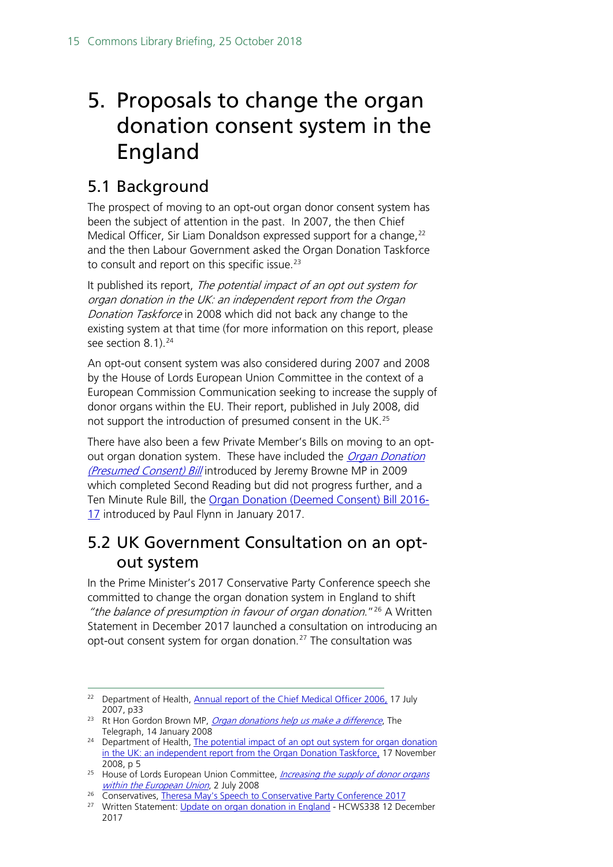# <span id="page-14-0"></span>5. Proposals to change the organ donation consent system in the England

# <span id="page-14-1"></span>5.1 Background

The prospect of moving to an opt-out organ donor consent system has been the subject of attention in the past. In 2007, the then Chief Medical Officer, Sir Liam Donaldson expressed support for a change, [22](#page-14-3) and the then Labour Government asked the Organ Donation Taskforce to consult and report on this specific issue.<sup>[23](#page-14-4)</sup>

It published its report, The potential impact of an opt out system for organ donation in the UK: an independent report from the Organ Donation Taskforce in 2008 which did not back any change to the existing system at that time (for more information on this report, please see section 8.1).<sup>24</sup>

An opt-out consent system was also considered during 2007 and 2008 by the House of Lords European Union Committee in the context of a European Commission Communication seeking to increase the supply of donor organs within the EU. Their report, published in July 2008, did not support the introduction of presumed consent in the UK.<sup>[25](#page-14-6)</sup>

There have also been a few Private Member's Bills on moving to an optout organ donation system. These have included the Organ Donation [\(Presumed Consent\) Bill](https://services.parliament.uk/bills/2008-09/organdonationpresumedconsent.html) introduced by Jeremy Browne MP in 2009 which completed Second Reading but did not progress further, and a Ten Minute Rule Bill, the [Organ Donation \(Deemed Consent\) Bill 2016-](https://services.parliament.uk/bills/2016-17/organdonationdeemedconsent.html) [17](https://services.parliament.uk/bills/2016-17/organdonationdeemedconsent.html) introduced by Paul Flynn in January 2017.

# <span id="page-14-2"></span>5.2 UK Government Consultation on an optout system

In the Prime Minister's 2017 Conservative Party Conference speech she committed to change the organ donation system in England to shift "the balance of presumption in favour of organ donation."<sup>[26](#page-14-7)</sup> A Written Statement in December 2017 launched a consultation on introducing an opt-out consent system for organ donation.<sup>[27](#page-14-8)</sup> The consultation was

<span id="page-14-3"></span><sup>&</sup>lt;sup>22</sup> Department of Health, **Annual report of the Chief Medical Officer 2006**, 17 July 2007, p33

<span id="page-14-4"></span><sup>&</sup>lt;sup>23</sup> Rt Hon Gordon Brown MP, *[Organ donations help us make a difference](http://www.telegraph.co.uk/news/uknews/1575442/Organ-donations-help-us-make-a-difference.html)*, The

<span id="page-14-5"></span>Telegraph, 14 January 2008<br><sup>24</sup> Department of Health, The potential impact of an opt out system for organ donation [in the UK: an independent report from the Organ Donation Taskforce,](https://nhsbtdbe.blob.core.windows.net/umbraco-assets-corp/4250/thepotentialimpactofanoptoutsystemfororgandonationintheuk.pdf) 17 November 2008, p 5

<span id="page-14-6"></span><sup>&</sup>lt;sup>25</sup> House of Lords European Union Committee, *Increasing the supply of donor organs* [within the European Union](http://www.publications.parliament.uk/pa/ld200708/ldselect/ldeucom/123/123i.pdf), 2 July 2008

<span id="page-14-7"></span><sup>&</sup>lt;sup>26</sup> Conservatives[, Theresa May's Speech to Conservative Party Conference 2017](https://www.conservatives.com/sharethefacts/2017/10/theresa-mays-conference-speech)

<span id="page-14-8"></span><sup>&</sup>lt;sup>27</sup> Written Statement: [Update on organ donation in England](http://www.parliament.uk/written-questions-answers-statements/written-statement/Commons/2017-12-12/HCWS338) - HCWS338 12 December 2017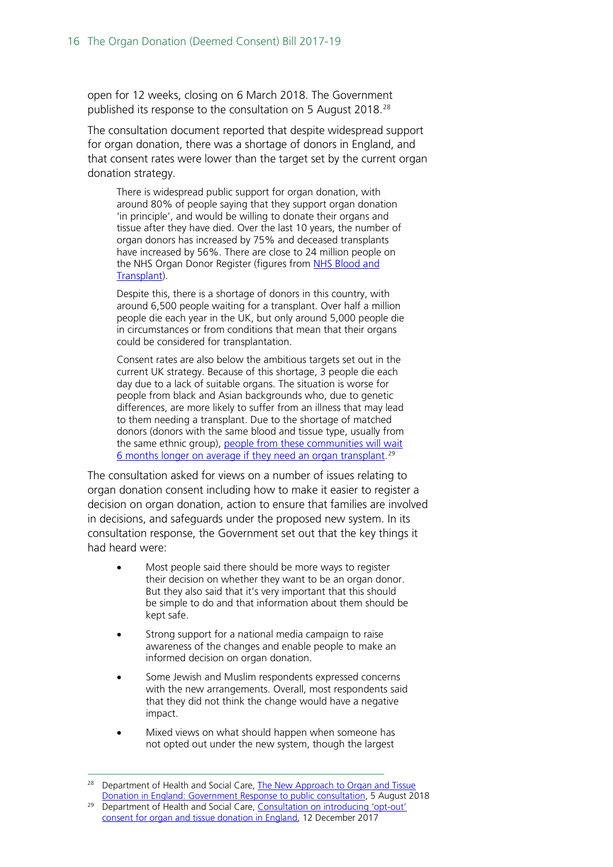open for 12 weeks, closing on 6 March 2018. The Government published its response to the consultation on 5 August 2018.<sup>[28](#page-15-0)</sup>

The consultation document reported that despite widespread support for organ donation, there was a shortage of donors in England, and that consent rates were lower than the target set by the current organ donation strategy.

There is widespread public support for organ donation, with around 80% of people saying that they support organ donation 'in principle', and would be willing to donate their organs and tissue after they have died. Over the last 10 years, the number of organ donors has increased by 75% and deceased transplants have increased by 56%. There are close to 24 million people on the NHS Organ Donor Register (figures from NHS Blood and [Transplant\)](https://www.nhsbt.nhs.uk/).

Despite this, there is a shortage of donors in this country, with around 6,500 people waiting for a transplant. Over half a million people die each year in the UK, but only around 5,000 people die in circumstances or from conditions that mean that their organs could be considered for transplantation.

Consent rates are also below the ambitious targets set out in the current UK strategy. Because of this shortage, 3 people die each day due to a lack of suitable organs. The situation is worse for people from black and Asian backgrounds who, due to genetic differences, are more likely to suffer from an illness that may lead to them needing a transplant. Due to the shortage of matched donors (donors with the same blood and tissue type, usually from the same ethnic group), people from these communities will wait [6 months longer on average if they need an organ transplant.](https://www.gov.uk/government/publications/race-disparity-audit) [29](#page-15-1)

The consultation asked for views on a number of issues relating to organ donation consent including how to make it easier to register a decision on organ donation, action to ensure that families are involved in decisions, and safeguards under the proposed new system. In its consultation response, the Government set out that the key things it had heard were:

- Most people said there should be more ways to register their decision on whether they want to be an organ donor. But they also said that it's very important that this should be simple to do and that information about them should be kept safe.
- Strong support for a national media campaign to raise awareness of the changes and enable people to make an informed decision on organ donation.
- Some Jewish and Muslim respondents expressed concerns with the new arrangements. Overall, most respondents said that they did not think the change would have a negative impact.
- Mixed views on what should happen when someone has not opted out under the new system, though the largest

<span id="page-15-1"></span><span id="page-15-0"></span><sup>&</sup>lt;sup>28</sup> Department of Health and Social Care, The New Approach to Organ and Tissue [Donation in England: Government Response to public consultation,](https://assets.publishing.service.gov.uk/government/uploads/system/uploads/attachment_data/file/731913/govt-response-organ-donation-consent.pdf) 5 August 2018 <sup>29</sup> Department of Health and Social Care, Consultation on introducing 'opt-out'

[consent for organ and tissue donation in England,](https://www.gov.uk/government/consultations/introducing-opt-out-consent-for-organ-and-tissue-donation-in-england/consultation-on-introducing-opt-out-consent-for-organ-and-tissue-donation-in-england) 12 December 2017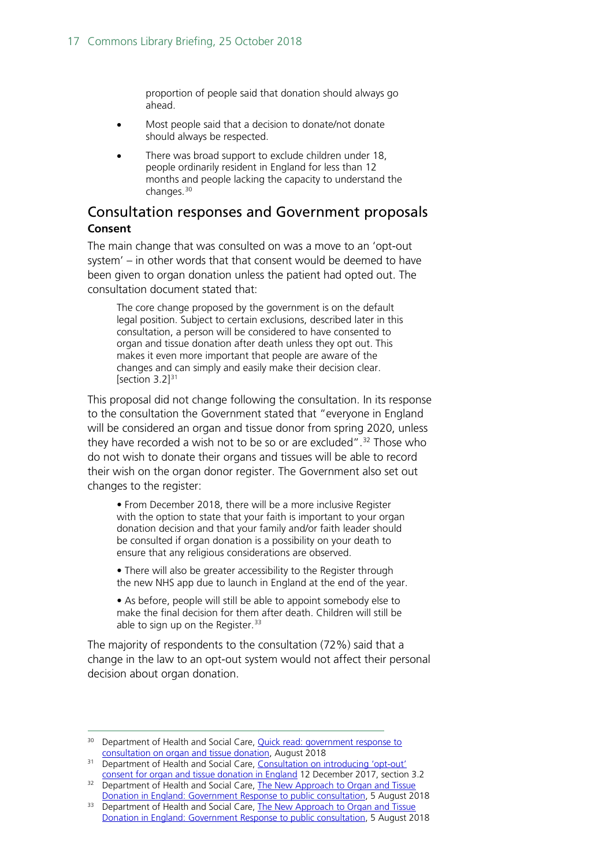proportion of people said that donation should always go ahead.

- Most people said that a decision to donate/not donate should always be respected.
- There was broad support to exclude children under 18, people ordinarily resident in England for less than 12 months and people lacking the capacity to understand the changes.[30](#page-16-1)

### <span id="page-16-0"></span>Consultation responses and Government proposals **Consent**

The main change that was consulted on was a move to an 'opt-out system' – in other words that that consent would be deemed to have been given to organ donation unless the patient had opted out. The consultation document stated that:

The core change proposed by the government is on the default legal position. Subject to certain exclusions, described later in this consultation, a person will be considered to have consented to organ and tissue donation after death unless they opt out. This makes it even more important that people are aware of the changes and can simply and easily make their decision clear. [section  $3.2$ ] $31$ 

This proposal did not change following the consultation. In its response to the consultation the Government stated that "everyone in England will be considered an organ and tissue donor from spring 2020, unless they have recorded a wish not to be so or are excluded". [32](#page-16-3) Those who do not wish to donate their organs and tissues will be able to record their wish on the organ donor register. The Government also set out changes to the register:

• From December 2018, there will be a more inclusive Register with the option to state that your faith is important to your organ donation decision and that your family and/or faith leader should be consulted if organ donation is a possibility on your death to ensure that any religious considerations are observed.

• There will also be greater accessibility to the Register through the new NHS app due to launch in England at the end of the year.

• As before, people will still be able to appoint somebody else to make the final decision for them after death. Children will still be able to sign up on the Register.<sup>[33](#page-16-4)</sup>

The majority of respondents to the consultation (72%) said that a change in the law to an opt-out system would not affect their personal decision about organ donation.

<span id="page-16-1"></span><sup>&</sup>lt;sup>30</sup> Department of Health and Social Care, **Quick read: government response to** [consultation on organ and tissue donation,](https://assets.publishing.service.gov.uk/government/uploads/system/uploads/attachment_data/file/731914/Quick_read_organ_donation_response.pdf) August 2018

<span id="page-16-2"></span><sup>&</sup>lt;sup>31</sup> Department of Health and Social Care, Consultation on introducing 'opt-out' [consent for organ and tissue donation in England](https://www.gov.uk/government/consultations/introducing-opt-out-consent-for-organ-and-tissue-donation-in-england/consultation-on-introducing-opt-out-consent-for-organ-and-tissue-donation-in-england) 12 December 2017, section 3.2

<span id="page-16-3"></span><sup>&</sup>lt;sup>32</sup> Department of Health and Social Care, The New Approach to Organ and Tissue [Donation in England: Government Response to public consultation,](https://assets.publishing.service.gov.uk/government/uploads/system/uploads/attachment_data/file/731913/govt-response-organ-donation-consent.pdf) 5 August 2018

<span id="page-16-4"></span><sup>&</sup>lt;sup>33</sup> Department of Health and Social Care, The New Approach to Organ and Tissue [Donation in England: Government Response to public consultation,](https://assets.publishing.service.gov.uk/government/uploads/system/uploads/attachment_data/file/731913/govt-response-organ-donation-consent.pdf) 5 August 2018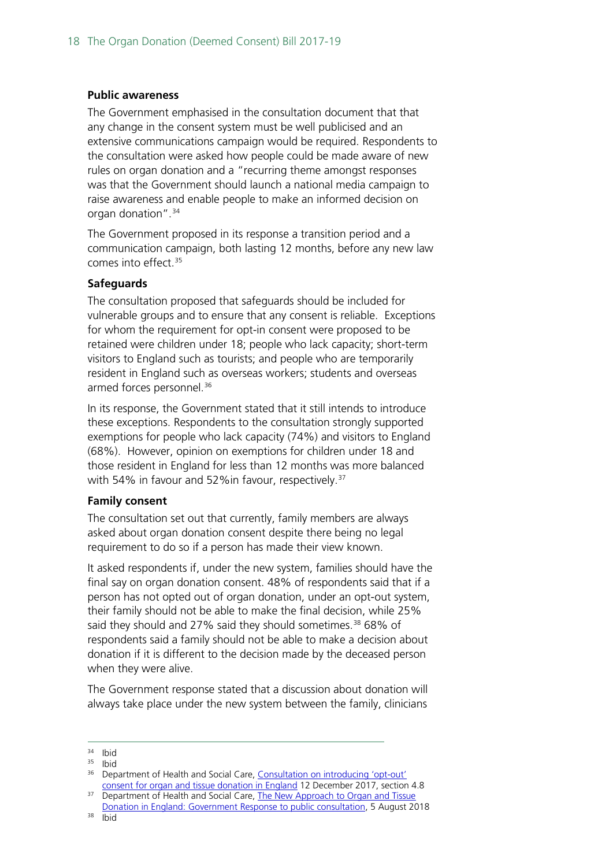#### **Public awareness**

The Government emphasised in the consultation document that that any change in the consent system must be well publicised and an extensive communications campaign would be required. Respondents to the consultation were asked how people could be made aware of new rules on organ donation and a "recurring theme amongst responses was that the Government should launch a national media campaign to raise awareness and enable people to make an informed decision on organ donation". [34](#page-17-0)

The Government proposed in its response a transition period and a communication campaign, both lasting 12 months, before any new law comes into effect.  $35$ 

#### **Safeguards**

The consultation proposed that safeguards should be included for vulnerable groups and to ensure that any consent is reliable. Exceptions for whom the requirement for opt-in consent were proposed to be retained were children under 18; people who lack capacity; short-term visitors to England such as tourists; and people who are temporarily resident in England such as overseas workers; students and overseas armed forces personnel.<sup>[36](#page-17-2)</sup>

In its response, the Government stated that it still intends to introduce these exceptions. Respondents to the consultation strongly supported exemptions for people who lack capacity (74%) and visitors to England (68%). However, opinion on exemptions for children under 18 and those resident in England for less than 12 months was more balanced with 54% in favour and 52%in favour, respectively.<sup>[37](#page-17-3)</sup>

#### **Family consent**

The consultation set out that currently, family members are always asked about organ donation consent despite there being no legal requirement to do so if a person has made their view known.

It asked respondents if, under the new system, families should have the final say on organ donation consent. 48% of respondents said that if a person has not opted out of organ donation, under an opt-out system, their family should not be able to make the final decision, while 25% said they should and 27% said they should sometimes.<sup>38</sup> 68% of respondents said a family should not be able to make a decision about donation if it is different to the decision made by the deceased person when they were alive.

The Government response stated that a discussion about donation will always take place under the new system between the family, clinicians

<span id="page-17-0"></span> $34$  Ibid<br> $35$  Ibid

<span id="page-17-1"></span><sup>35</sup> Ibid

<span id="page-17-2"></span><sup>36</sup> Department of Health and Social Care, [Consultation on introducing 'opt-out'](https://www.gov.uk/government/consultations/introducing-opt-out-consent-for-organ-and-tissue-donation-in-england/consultation-on-introducing-opt-out-consent-for-organ-and-tissue-donation-in-england)  [consent for organ and tissue donation in England](https://www.gov.uk/government/consultations/introducing-opt-out-consent-for-organ-and-tissue-donation-in-england/consultation-on-introducing-opt-out-consent-for-organ-and-tissue-donation-in-england) 12 December 2017, section 4.8

<span id="page-17-4"></span><span id="page-17-3"></span><sup>&</sup>lt;sup>37</sup> Department of Health and Social Care, The New Approach to Organ and Tissue [Donation in England: Government Response to public consultation,](https://assets.publishing.service.gov.uk/government/uploads/system/uploads/attachment_data/file/731913/govt-response-organ-donation-consent.pdf) 5 August 2018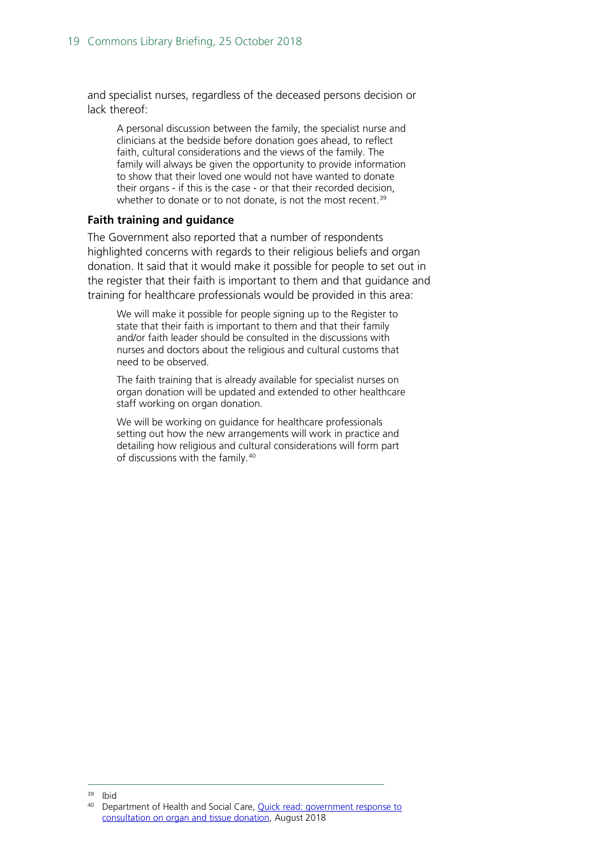and specialist nurses, regardless of the deceased persons decision or lack thereof:

A personal discussion between the family, the specialist nurse and clinicians at the bedside before donation goes ahead, to reflect faith, cultural considerations and the views of the family. The family will always be given the opportunity to provide information to show that their loved one would not have wanted to donate their organs - if this is the case - or that their recorded decision, whether to donate or to not donate, is not the most recent.<sup>[39](#page-18-0)</sup>

#### **Faith training and guidance**

The Government also reported that a number of respondents highlighted concerns with regards to their religious beliefs and organ donation. It said that it would make it possible for people to set out in the register that their faith is important to them and that guidance and training for healthcare professionals would be provided in this area:

We will make it possible for people signing up to the Register to state that their faith is important to them and that their family and/or faith leader should be consulted in the discussions with nurses and doctors about the religious and cultural customs that need to be observed.

The faith training that is already available for specialist nurses on organ donation will be updated and extended to other healthcare staff working on organ donation.

We will be working on guidance for healthcare professionals setting out how the new arrangements will work in practice and detailing how religious and cultural considerations will form part of discussions with the family.[40](#page-18-1)

<span id="page-18-1"></span><span id="page-18-0"></span> $39$  Ibid<br> $40$  Don

<sup>40</sup> Department of Health and Social Care, [Quick read: government response to](https://assets.publishing.service.gov.uk/government/uploads/system/uploads/attachment_data/file/731914/Quick_read_organ_donation_response.pdf)  [consultation on organ and tissue donation,](https://assets.publishing.service.gov.uk/government/uploads/system/uploads/attachment_data/file/731914/Quick_read_organ_donation_response.pdf) August 2018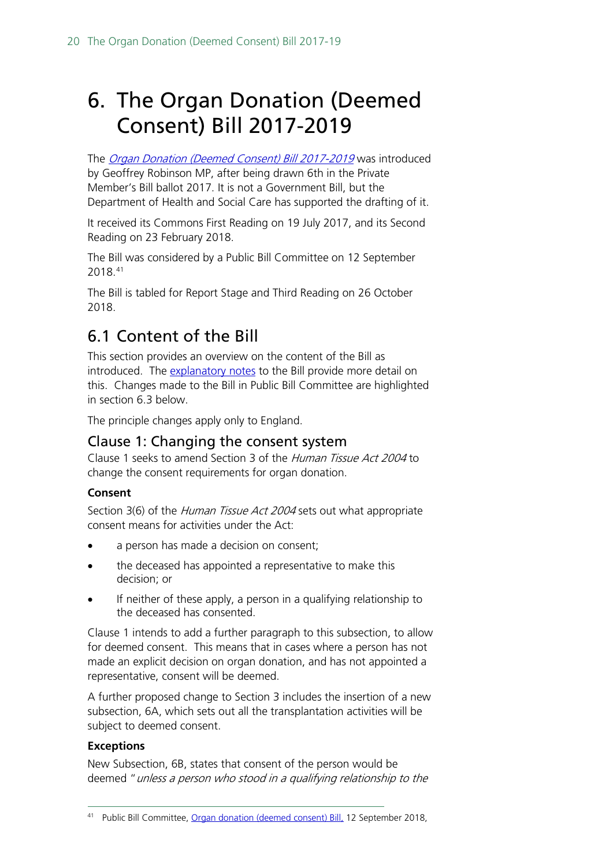# <span id="page-19-0"></span>6. The Organ Donation (Deemed Consent) Bill 2017-2019

The [Organ Donation \(Deemed Consent\) Bill 2017-2019](https://services.parliament.uk/bills/2017-19/organdonationdeemedconsent.html) was introduced by Geoffrey Robinson MP, after being drawn 6th in the Private Member's Bill ballot 2017. It is not a Government Bill, but the Department of Health and Social Care has supported the drafting of it.

It received its Commons First Reading on 19 July 2017, and its Second Reading on 23 February 2018.

The Bill was considered by a Public Bill Committee on 12 September 2018.[41](#page-19-3)

The Bill is tabled for Report Stage and Third Reading on 26 October 2018.

# <span id="page-19-1"></span>6.1 Content of the Bill

This section provides an overview on the content of the Bill as introduced. The [explanatory notes](https://publications.parliament.uk/pa/bills/cbill/2017-2019/0012/en/18012en.pdf) to the Bill provide more detail on this. Changes made to the Bill in Public Bill Committee are highlighted in section 6.3 below.

The principle changes apply only to England.

## <span id="page-19-2"></span>Clause 1: Changing the consent system

Clause 1 seeks to amend Section 3 of the Human Tissue Act 2004 to change the consent requirements for organ donation.

#### **Consent**

Section 3(6) of the *Human Tissue Act 2004* sets out what appropriate consent means for activities under the Act:

- a person has made a decision on consent;
- the deceased has appointed a representative to make this decision; or
- If neither of these apply, a person in a qualifying relationship to the deceased has consented.

Clause 1 intends to add a further paragraph to this subsection, to allow for deemed consent. This means that in cases where a person has not made an explicit decision on organ donation, and has not appointed a representative, consent will be deemed.

A further proposed change to Section 3 includes the insertion of a new subsection, 6A, which sets out all the transplantation activities will be subject to deemed consent.

#### **Exceptions**

New Subsection, 6B, states that consent of the person would be deemed " unless a person who stood in a qualifying relationship to the

<span id="page-19-3"></span> <sup>41</sup> Public Bill Committee, [Organ donation \(deemed consent\) Bill,](https://hansard.parliament.uk/commons/2018-09-12/debates/e930f2bd-06ef-4352-961e-05159c7ba37a/OrganDonation(DeemedConsent)Bill) 12 September 2018,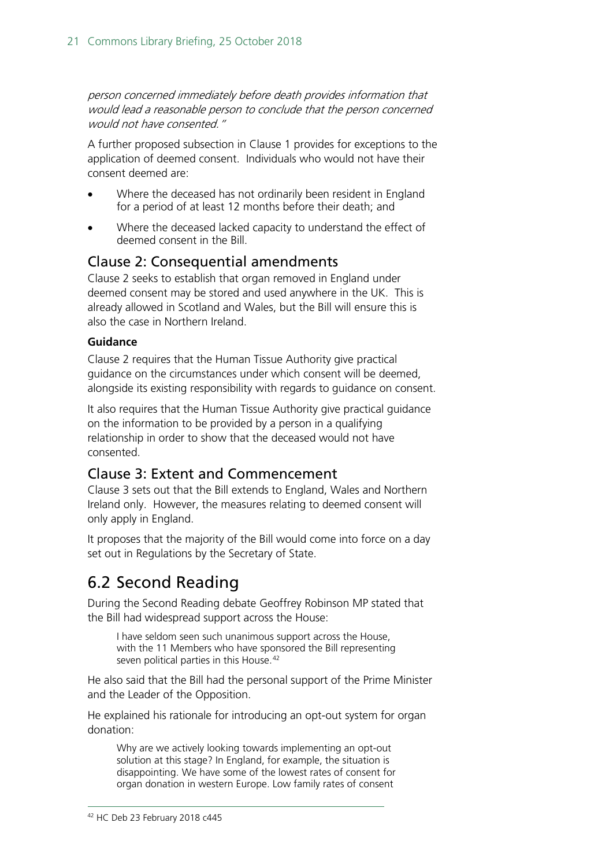person concerned immediately before death provides information that would lead a reasonable person to conclude that the person concerned would not have consented."

A further proposed subsection in Clause 1 provides for exceptions to the application of deemed consent. Individuals who would not have their consent deemed are:

- Where the deceased has not ordinarily been resident in England for a period of at least 12 months before their death; and
- Where the deceased lacked capacity to understand the effect of deemed consent in the Bill.

## <span id="page-20-0"></span>Clause 2: Consequential amendments

Clause 2 seeks to establish that organ removed in England under deemed consent may be stored and used anywhere in the UK. This is already allowed in Scotland and Wales, but the Bill will ensure this is also the case in Northern Ireland.

#### **Guidance**

Clause 2 requires that the Human Tissue Authority give practical guidance on the circumstances under which consent will be deemed, alongside its existing responsibility with regards to guidance on consent.

It also requires that the Human Tissue Authority give practical guidance on the information to be provided by a person in a qualifying relationship in order to show that the deceased would not have consented.

### <span id="page-20-1"></span>Clause 3: Extent and Commencement

Clause 3 sets out that the Bill extends to England, Wales and Northern Ireland only. However, the measures relating to deemed consent will only apply in England.

It proposes that the majority of the Bill would come into force on a day set out in Regulations by the Secretary of State.

# <span id="page-20-2"></span>6.2 Second Reading

During the Second Reading debate Geoffrey Robinson MP stated that the Bill had widespread support across the House:

I have seldom seen such unanimous support across the House, with the 11 Members who have sponsored the Bill representing seven political parties in this House.<sup>[42](#page-20-3)</sup>

He also said that the Bill had the personal support of the Prime Minister and the Leader of the Opposition.

<span id="page-20-3"></span>He explained his rationale for introducing an opt-out system for organ donation:

Why are we actively looking towards implementing an opt-out solution at this stage? In England, for example, the situation is disappointing. We have some of the lowest rates of consent for organ donation in western Europe. Low family rates of consent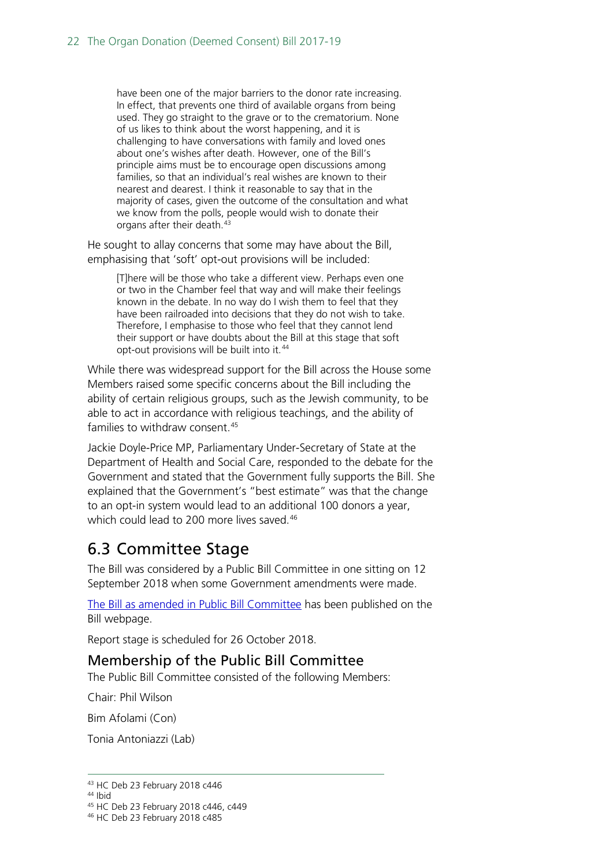have been one of the major barriers to the donor rate increasing. In effect, that prevents one third of available organs from being used. They go straight to the grave or to the crematorium. None of us likes to think about the worst happening, and it is challenging to have conversations with family and loved ones about one's wishes after death. However, one of the Bill's principle aims must be to encourage open discussions among families, so that an individual's real wishes are known to their nearest and dearest. I think it reasonable to say that in the majority of cases, given the outcome of the consultation and what we know from the polls, people would wish to donate their organs after their death.<sup>[43](#page-21-2)</sup>

He sought to allay concerns that some may have about the Bill, emphasising that 'soft' opt-out provisions will be included:

[T]here will be those who take a different view. Perhaps even one or two in the Chamber feel that way and will make their feelings known in the debate. In no way do I wish them to feel that they have been railroaded into decisions that they do not wish to take. Therefore, I emphasise to those who feel that they cannot lend their support or have doubts about the Bill at this stage that soft opt-out provisions will be built into it.<sup>[44](#page-21-3)</sup>

While there was widespread support for the Bill across the House some Members raised some specific concerns about the Bill including the ability of certain religious groups, such as the Jewish community, to be able to act in accordance with religious teachings, and the ability of families to withdraw consent. [45](#page-21-4)

Jackie Doyle-Price MP, Parliamentary Under-Secretary of State at the Department of Health and Social Care, responded to the debate for the Government and stated that the Government fully supports the Bill. She explained that the Government's "best estimate" was that the change to an opt-in system would lead to an additional 100 donors a year, which could lead to 200 more lives saved.<sup>[46](#page-21-5)</sup>

# <span id="page-21-0"></span>6.3 Committee Stage

The Bill was considered by a Public Bill Committee in one sitting on 12 September 2018 when some Government amendments were made.

[The Bill as amended in Public Bill Committee](https://publications.parliament.uk/pa/bills/cbill/2017-2019/0268/cbill_2017-20190268_en_1.htm) has been published on the Bill webpage.

Report stage is scheduled for 26 October 2018.

### <span id="page-21-1"></span>Membership of the Public Bill Committee

The Public Bill Committee consisted of the following Members:

Chair: Phil Wilson

Bim Afolami (Con)

Tonia Antoniazzi (Lab)

<span id="page-21-2"></span> <sup>43</sup> HC Deb 23 February 2018 c446

<span id="page-21-3"></span><sup>44</sup> Ibid

<sup>45</sup> HC Deb 23 February 2018 c446, c449

<span id="page-21-5"></span><span id="page-21-4"></span><sup>46</sup> HC Deb 23 February 2018 c485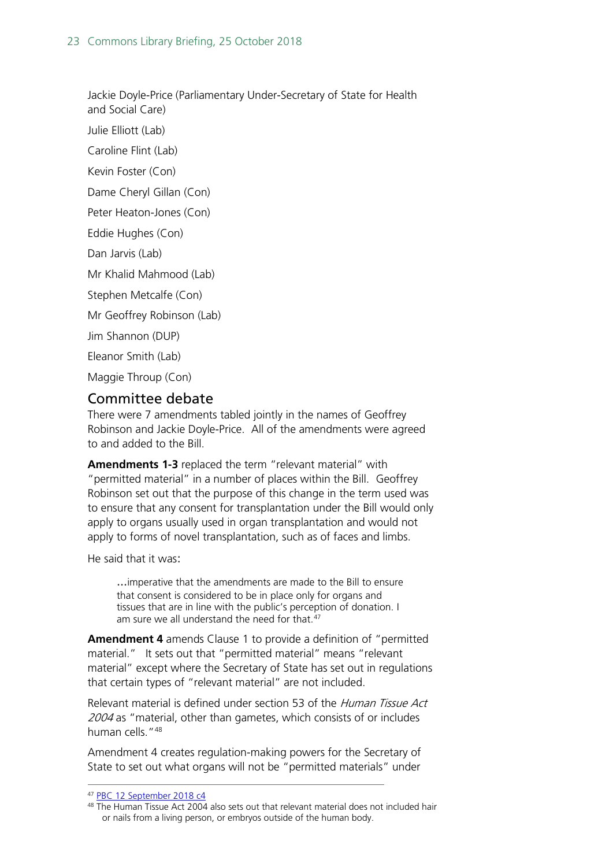Jackie Doyle-Price (Parliamentary Under-Secretary of State for Health

and Social Care) Julie Elliott (Lab)

Caroline Flint (Lab)

Kevin Foster (Con)

Dame Cheryl Gillan (Con)

Peter Heaton-Jones (Con)

Eddie Hughes (Con)

Dan Jarvis (Lab)

Mr Khalid Mahmood (Lab)

Stephen Metcalfe (Con)

Mr Geoffrey Robinson (Lab)

Jim Shannon (DUP)

Eleanor Smith (Lab)

Maggie Throup (Con)

### <span id="page-22-0"></span>Committee debate

There were 7 amendments tabled jointly in the names of Geoffrey Robinson and Jackie Doyle-Price. All of the amendments were agreed to and added to the Bill.

**Amendments 1-3** replaced the term "relevant material" with "permitted material" in a number of places within the Bill. Geoffrey Robinson set out that the purpose of this change in the term used was to ensure that any consent for transplantation under the Bill would only apply to organs usually used in organ transplantation and would not apply to forms of novel transplantation, such as of faces and limbs.

He said that it was:

...imperative that the amendments are made to the Bill to ensure that consent is considered to be in place only for organs and tissues that are in line with the public's perception of donation. I am sure we all understand the need for that.<sup>[47](#page-22-1)</sup>

**Amendment 4** amends Clause 1 to provide a definition of "permitted material." It sets out that "permitted material" means "relevant material" except where the Secretary of State has set out in regulations that certain types of "relevant material" are not included.

Relevant material is defined under section 53 of the Human Tissue Act 2004 as "material, other than gametes, which consists of or includes human cells.["48](#page-22-2) 

Amendment 4 creates regulation-making powers for the Secretary of State to set out what organs will not be "permitted materials" under

 <sup>47</sup> [PBC 12 September 2018 c4](http://bit.ly/2OPJXHi)

<span id="page-22-2"></span><span id="page-22-1"></span><sup>48</sup> The Human Tissue Act 2004 also sets out that relevant material does not included hair or nails from a living person, or embryos outside of the human body.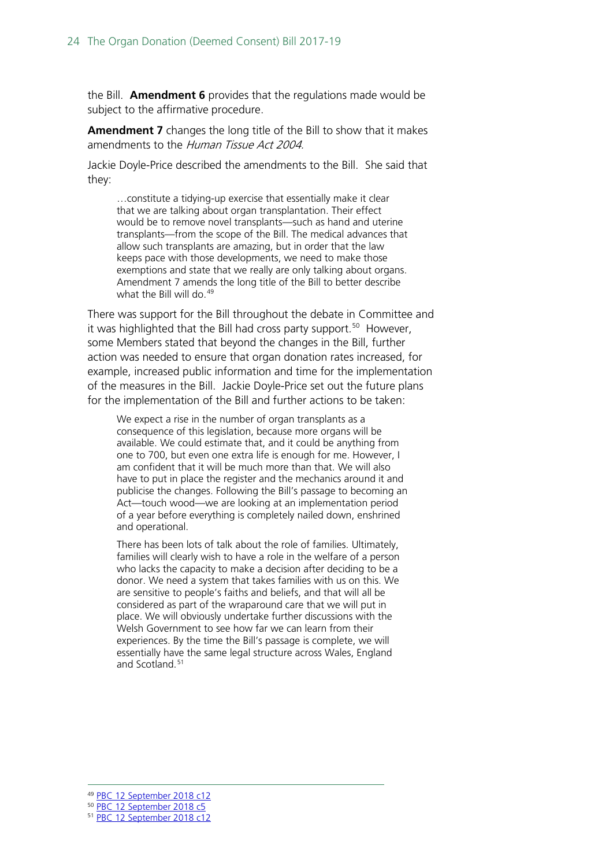the Bill. **Amendment 6** provides that the regulations made would be subject to the affirmative procedure.

**Amendment 7** changes the long title of the Bill to show that it makes amendments to the Human Tissue Act 2004.

Jackie Doyle-Price described the amendments to the Bill. She said that they:

…constitute a tidying-up exercise that essentially make it clear that we are talking about organ transplantation. Their effect would be to remove novel transplants—such as hand and uterine transplants—from the scope of the Bill. The medical advances that allow such transplants are amazing, but in order that the law keeps pace with those developments, we need to make those exemptions and state that we really are only talking about organs. Amendment 7 amends the long title of the Bill to better describe what the Bill will do. [49](#page-23-0)

There was support for the Bill throughout the debate in Committee and it was highlighted that the Bill had cross party support.<sup>[50](#page-23-1)</sup> However, some Members stated that beyond the changes in the Bill, further action was needed to ensure that organ donation rates increased, for example, increased public information and time for the implementation of the measures in the Bill. Jackie Doyle-Price set out the future plans for the implementation of the Bill and further actions to be taken:

We expect a rise in the number of organ transplants as a consequence of this legislation, because more organs will be available. We could estimate that, and it could be anything from one to 700, but even one extra life is enough for me. However, I am confident that it will be much more than that. We will also have to put in place the register and the mechanics around it and publicise the changes. Following the Bill's passage to becoming an Act—touch wood—we are looking at an implementation period of a year before everything is completely nailed down, enshrined and operational.

There has been lots of talk about the role of families. Ultimately, families will clearly wish to have a role in the welfare of a person who lacks the capacity to make a decision after deciding to be a donor. We need a system that takes families with us on this. We are sensitive to people's faiths and beliefs, and that will all be considered as part of the wraparound care that we will put in place. We will obviously undertake further discussions with the Welsh Government to see how far we can learn from their experiences. By the time the Bill's passage is complete, we will essentially have the same legal structure across Wales, England and Scotland.<sup>[51](#page-23-2)</sup>

 <sup>49</sup> [PBC 12 September 2018 c12](http://bit.ly/2PnTAwi)

<span id="page-23-1"></span><span id="page-23-0"></span><sup>50</sup> [PBC 12 September 2018 c5](http://bit.ly/2OPJXHi)

<span id="page-23-2"></span><sup>51</sup> [PBC 12 September 2018 c12](http://bit.ly/2PnTAwi)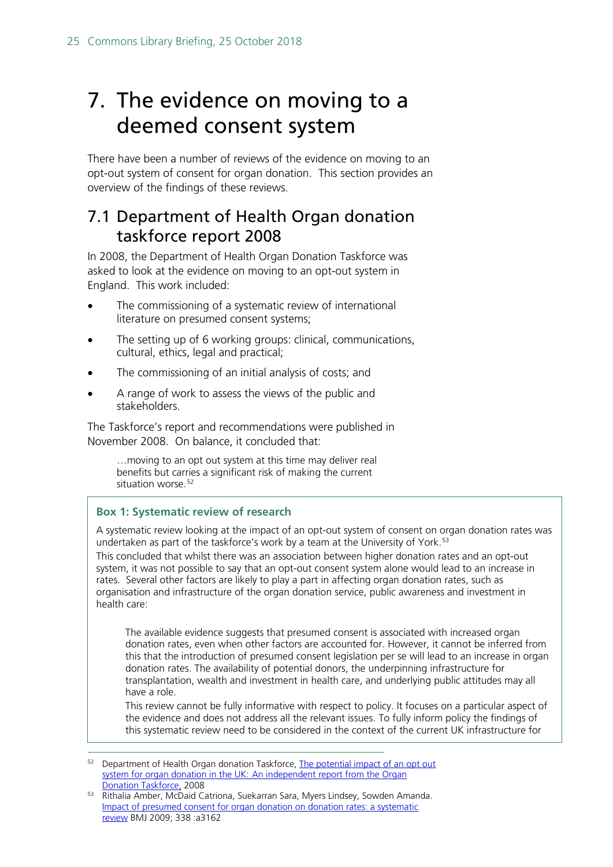# <span id="page-24-0"></span>7. The evidence on moving to a deemed consent system

There have been a number of reviews of the evidence on moving to an opt-out system of consent for organ donation. This section provides an overview of the findings of these reviews.

## <span id="page-24-1"></span>7.1 Department of Health Organ donation taskforce report 2008

In 2008, the Department of Health Organ Donation Taskforce was asked to look at the evidence on moving to an opt-out system in England. This work included:

- The commissioning of a systematic review of international literature on presumed consent systems;
- The setting up of 6 working groups: clinical, communications, cultural, ethics, legal and practical;
- The commissioning of an initial analysis of costs; and
- A range of work to assess the views of the public and stakeholders.

The Taskforce's report and recommendations were published in November 2008. On balance, it concluded that:

…moving to an opt out system at this time may deliver real benefits but carries a significant risk of making the current situation worse.<sup>[52](#page-24-2)</sup>

#### **Box 1: Systematic review of research**

A systematic review looking at the impact of an opt-out system of consent on organ donation rates was undertaken as part of the taskforce's work by a team at the University of York.<sup>[53](#page-24-3)</sup> This concluded that whilst there was an association between higher donation rates and an opt-out system, it was not possible to say that an opt-out consent system alone would lead to an increase in rates. Several other factors are likely to play a part in affecting organ donation rates, such as

organisation and infrastructure of the organ donation service, public awareness and investment in health care:

The available evidence suggests that presumed consent is associated with increased organ donation rates, even when other factors are accounted for. However, it cannot be inferred from this that the introduction of presumed consent legislation per se will lead to an increase in organ donation rates. The availability of potential donors, the underpinning infrastructure for transplantation, wealth and investment in health care, and underlying public attitudes may all have a role.

This review cannot be fully informative with respect to policy. It focuses on a particular aspect of the evidence and does not address all the relevant issues. To fully inform policy the findings of this systematic review need to be considered in the context of the current UK infrastructure for

<span id="page-24-2"></span><sup>&</sup>lt;sup>52</sup> Department of Health Organ donation Taskforce, The potential impact of an opt out system for organ donation in the UK: [An independent report from the Organ](http://webarchive.nationalarchives.gov.uk/20130124044530/http:/www.dh.gov.uk/prod_consum_dh/groups/dh_digitalassets/@dh/@en/documents/digitalasset/dh_090303.pdf)  [Donation Taskforce,](http://webarchive.nationalarchives.gov.uk/20130124044530/http:/www.dh.gov.uk/prod_consum_dh/groups/dh_digitalassets/@dh/@en/documents/digitalasset/dh_090303.pdf) 2008

<span id="page-24-3"></span><sup>53</sup> Rithalia Amber, McDaid Catriona, Suekarran Sara, Myers Lindsey, Sowden Amanda. [Impact of presumed consent for organ donation on donation rates: a systematic](http://www.bmj.com/content/338/bmj.a3162)  [review](http://www.bmj.com/content/338/bmj.a3162) BMJ 2009; 338 :a3162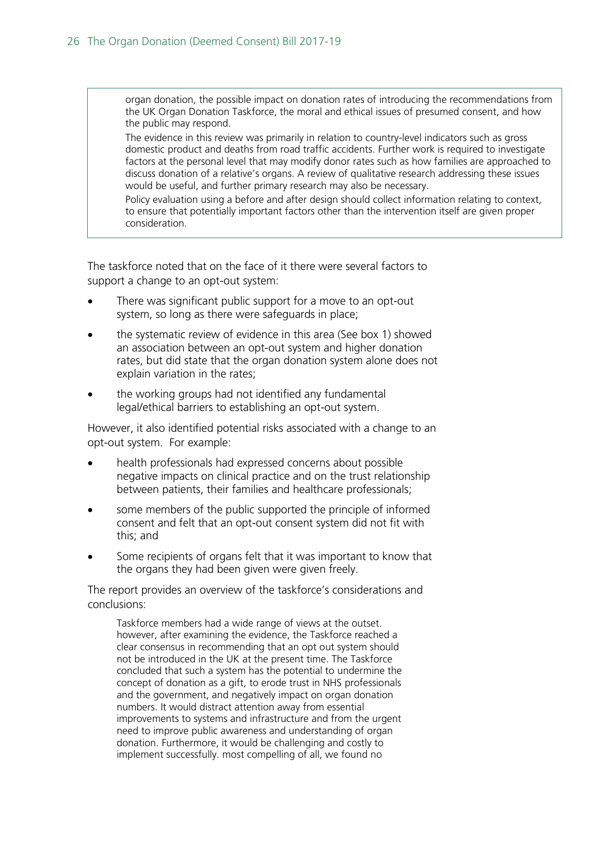organ donation, the possible impact on donation rates of introducing the recommendations from the UK Organ Donation Taskforce, the moral and ethical issues of presumed consent, and how the public may respond.

The evidence in this review was primarily in relation to country-level indicators such as gross domestic product and deaths from road traffic accidents. Further work is required to investigate factors at the personal level that may modify donor rates such as how families are approached to discuss donation of a relative's organs. A review of qualitative research addressing these issues would be useful, and further primary research may also be necessary.

Policy evaluation using a before and after design should collect information relating to context, to ensure that potentially important factors other than the intervention itself are given proper consideration.

The taskforce noted that on the face of it there were several factors to support a change to an opt-out system:

- There was significant public support for a move to an opt-out system, so long as there were safeguards in place;
- the systematic review of evidence in this area (See box 1) showed an association between an opt-out system and higher donation rates, but did state that the organ donation system alone does not explain variation in the rates;
- the working groups had not identified any fundamental legal/ethical barriers to establishing an opt-out system.

However, it also identified potential risks associated with a change to an opt-out system. For example:

- health professionals had expressed concerns about possible negative impacts on clinical practice and on the trust relationship between patients, their families and healthcare professionals;
- some members of the public supported the principle of informed consent and felt that an opt-out consent system did not fit with this; and
- Some recipients of organs felt that it was important to know that the organs they had been given were given freely.

The report provides an overview of the taskforce's considerations and conclusions:

Taskforce members had a wide range of views at the outset. however, after examining the evidence, the Taskforce reached a clear consensus in recommending that an opt out system should not be introduced in the UK at the present time. The Taskforce concluded that such a system has the potential to undermine the concept of donation as a gift, to erode trust in NHS professionals and the government, and negatively impact on organ donation numbers. It would distract attention away from essential improvements to systems and infrastructure and from the urgent need to improve public awareness and understanding of organ donation. Furthermore, it would be challenging and costly to implement successfully. most compelling of all, we found no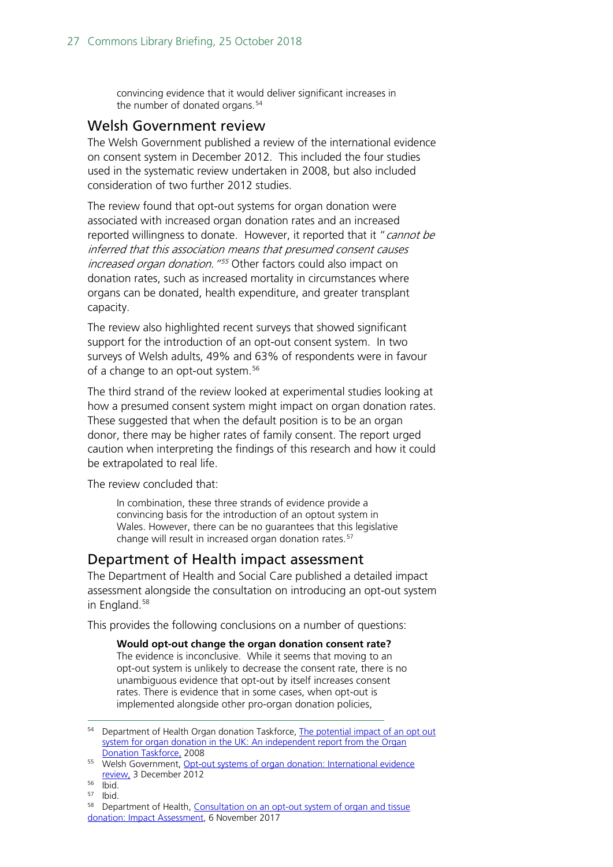convincing evidence that it would deliver significant increases in the number of donated organs.<sup>[54](#page-26-2)</sup>

#### <span id="page-26-0"></span>Welsh Government review

The Welsh Government published a review of the international evidence on consent system in December 2012. This included the four studies used in the systematic review undertaken in 2008, but also included consideration of two further 2012 studies.

The review found that opt-out systems for organ donation were associated with increased organ donation rates and an increased reported willingness to donate. However, it reported that it "cannot be inferred that this association means that presumed consent causes increased organ donation. "<sup>[55](#page-26-3)</sup> Other factors could also impact on donation rates, such as increased mortality in circumstances where organs can be donated, health expenditure, and greater transplant capacity.

The review also highlighted recent surveys that showed significant support for the introduction of an opt-out consent system. In two surveys of Welsh adults, 49% and 63% of respondents were in favour of a change to an opt-out system.<sup>[56](#page-26-4)</sup>

The third strand of the review looked at experimental studies looking at how a presumed consent system might impact on organ donation rates. These suggested that when the default position is to be an organ donor, there may be higher rates of family consent. The report urged caution when interpreting the findings of this research and how it could be extrapolated to real life.

The review concluded that:

In combination, these three strands of evidence provide a convincing basis for the introduction of an optout system in Wales. However, there can be no guarantees that this legislative change will result in increased organ donation rates.<sup>[57](#page-26-5)</sup>

### <span id="page-26-1"></span>Department of Health impact assessment

The Department of Health and Social Care published a detailed impact assessment alongside the consultation on introducing an opt-out system in England.<sup>[58](#page-26-6)</sup>

This provides the following conclusions on a number of questions:

**Would opt-out change the organ donation consent rate?** The evidence is inconclusive. While it seems that moving to an opt-out system is unlikely to decrease the consent rate, there is no unambiguous evidence that opt-out by itself increases consent rates. There is evidence that in some cases, when opt-out is implemented alongside other pro-organ donation policies,

<span id="page-26-2"></span><sup>&</sup>lt;sup>54</sup> Department of Health Organ donation Taskforce, The potential impact of an opt out system for organ donation in the UK: An independent report from the Organ [Donation Taskforce,](http://webarchive.nationalarchives.gov.uk/20130124044530/http:/www.dh.gov.uk/prod_consum_dh/groups/dh_digitalassets/@dh/@en/documents/digitalasset/dh_090303.pdf) 2008

<span id="page-26-3"></span><sup>55</sup> Welsh Government, Opt-out systems of organ donation: International evidence [review,](http://gov.wales/statistics-and-research/opt-out-systems-of-organ-donation/?lang=en) 3 December 2012

<span id="page-26-4"></span><sup>56</sup> Ibid.

<sup>57</sup> Ibid.

<span id="page-26-6"></span><span id="page-26-5"></span><sup>58</sup> Department of Health, Consultation on an opt-out system of organ and tissue [donation: Impact Assessment,](https://www.gov.uk/government/uploads/system/uploads/attachment_data/file/666518/Organ_Donation_Opt-Out_Consultation_Impact_Assessment.pdf) 6 November 2017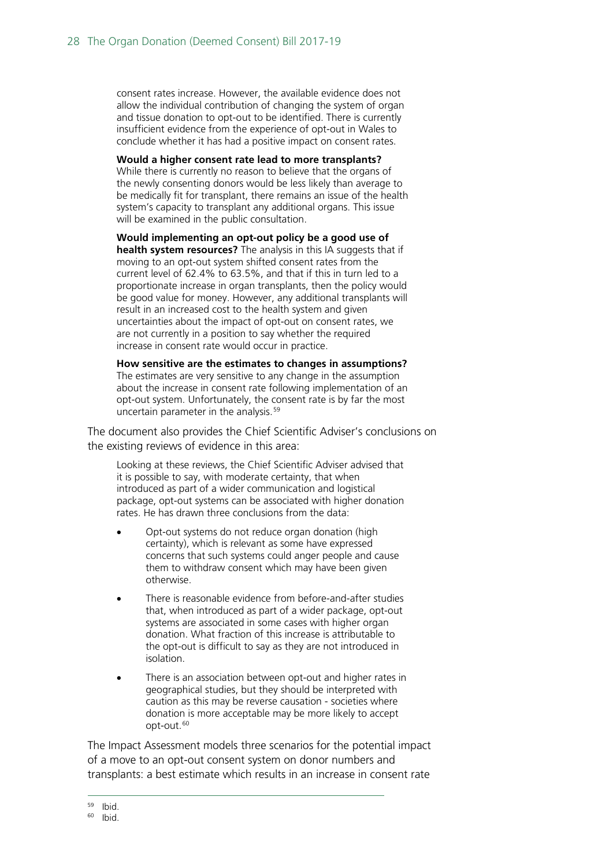consent rates increase. However, the available evidence does not allow the individual contribution of changing the system of organ and tissue donation to opt-out to be identified. There is currently insufficient evidence from the experience of opt-out in Wales to conclude whether it has had a positive impact on consent rates.

**Would a higher consent rate lead to more transplants?** While there is currently no reason to believe that the organs of the newly consenting donors would be less likely than average to be medically fit for transplant, there remains an issue of the health system's capacity to transplant any additional organs. This issue will be examined in the public consultation.

**Would implementing an opt-out policy be a good use of health system resources?** The analysis in this IA suggests that if moving to an opt-out system shifted consent rates from the current level of 62.4% to 63.5%, and that if this in turn led to a proportionate increase in organ transplants, then the policy would be good value for money. However, any additional transplants will result in an increased cost to the health system and given uncertainties about the impact of opt-out on consent rates, we are not currently in a position to say whether the required increase in consent rate would occur in practice.

**How sensitive are the estimates to changes in assumptions?** The estimates are very sensitive to any change in the assumption about the increase in consent rate following implementation of an opt-out system. Unfortunately, the consent rate is by far the most uncertain parameter in the analysis.<sup>[59](#page-27-0)</sup>

The document also provides the Chief Scientific Adviser's conclusions on the existing reviews of evidence in this area:

Looking at these reviews, the Chief Scientific Adviser advised that it is possible to say, with moderate certainty, that when introduced as part of a wider communication and logistical package, opt-out systems can be associated with higher donation rates. He has drawn three conclusions from the data:

- Opt-out systems do not reduce organ donation (high certainty), which is relevant as some have expressed concerns that such systems could anger people and cause them to withdraw consent which may have been given otherwise.
- There is reasonable evidence from before-and-after studies that, when introduced as part of a wider package, opt-out systems are associated in some cases with higher organ donation. What fraction of this increase is attributable to the opt-out is difficult to say as they are not introduced in isolation.
- There is an association between opt-out and higher rates in geographical studies, but they should be interpreted with caution as this may be reverse causation - societies where donation is more acceptable may be more likely to accept opt-out.<sup>[60](#page-27-1)</sup>

The Impact Assessment models three scenarios for the potential impact of a move to an opt-out consent system on donor numbers and transplants: a best estimate which results in an increase in consent rate

<span id="page-27-0"></span> $59$  Ibid.<br> $60$  Ibid.

<span id="page-27-1"></span>Ibid.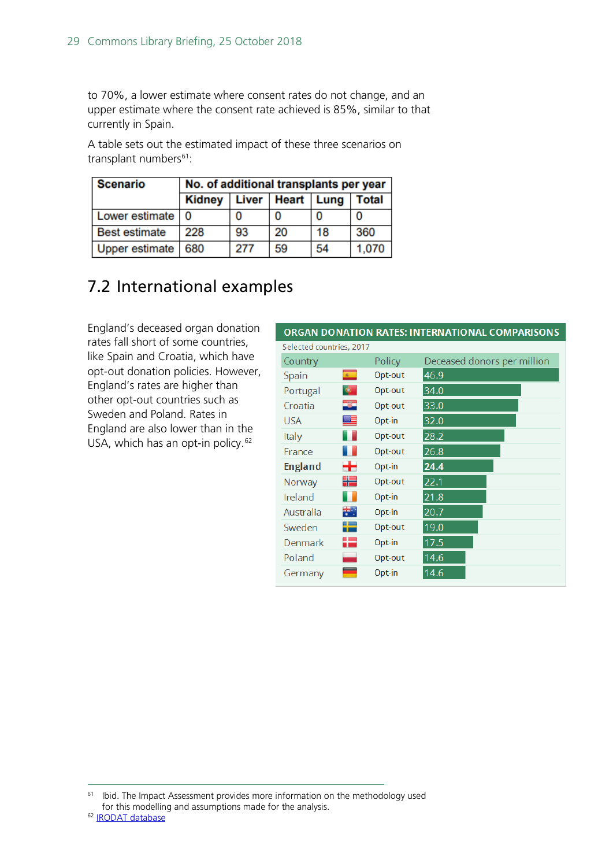to 70%, a lower estimate where consent rates do not change, and an upper estimate where the consent rate achieved is 85%, similar to that currently in Spain.

A table sets out the estimated impact of these three scenarios on transplant numbers<sup>61</sup>:

| <b>Scenario</b>      | No. of additional transplants per year |              |    |                   |              |
|----------------------|----------------------------------------|--------------|----|-------------------|--------------|
|                      | <b>Kidney</b>                          | <b>Liver</b> |    | <b>Heart</b> Lung | <b>Total</b> |
| Lower estimate       | 0                                      |              | 0  |                   |              |
| <b>Best estimate</b> | 228                                    | 93           | 20 | 18                | 360          |
| Upper estimate       | 680                                    | 277          | 59 | 54                | 1,070        |

## <span id="page-28-0"></span>7.2 International examples

England's deceased organ donation rates fall short of some countries, like Spain and Croatia, which have opt-out donation policies. However, England's rates are higher than other opt-out countries such as Sweden and Poland. Rates in England are also lower than in the USA, which has an opt-in policy.<sup>[62](#page-28-2)</sup>

### ORGAN DONATION RATES: INTERNATIONAL COMPARISONS

| Selected countries, 2017 |            |         |                             |
|--------------------------|------------|---------|-----------------------------|
| Country                  |            | Policy  | Deceased donors per million |
| Spain                    | $\epsilon$ | Opt-out | 46.9                        |
| Portugal                 | ۰          | Opt-out | 34.0                        |
| Croatia                  | -34        | Opt-out | 33.0                        |
| <b>USA</b>               | ≞          | Opt-in  | 32.0                        |
| Italy                    |            | Opt-out | 28.2                        |
| France                   |            | Opt-out | 26.8                        |
| <b>England</b>           | ٠.         | Opt-in  | 24.4                        |
| Norway                   | ₩          | Opt-out | 22.1                        |
| Ireland                  |            | Opt-in  | 21.8                        |
| Australia                | ₩.         | Opt-in  | 20.7                        |
| Sweden                   | ╄          | Opt-out | 19.0                        |
| Denmark                  | 42         | Opt-in  | 17.5                        |
| Poland                   |            | Opt-out | 14.6                        |
| Germany                  |            | Opt-in  | 14.6                        |

<span id="page-28-2"></span><span id="page-28-1"></span><sup>&</sup>lt;sup>61</sup> Ibid. The Impact Assessment provides more information on the methodology used for this modelling and assumptions made for the analysis.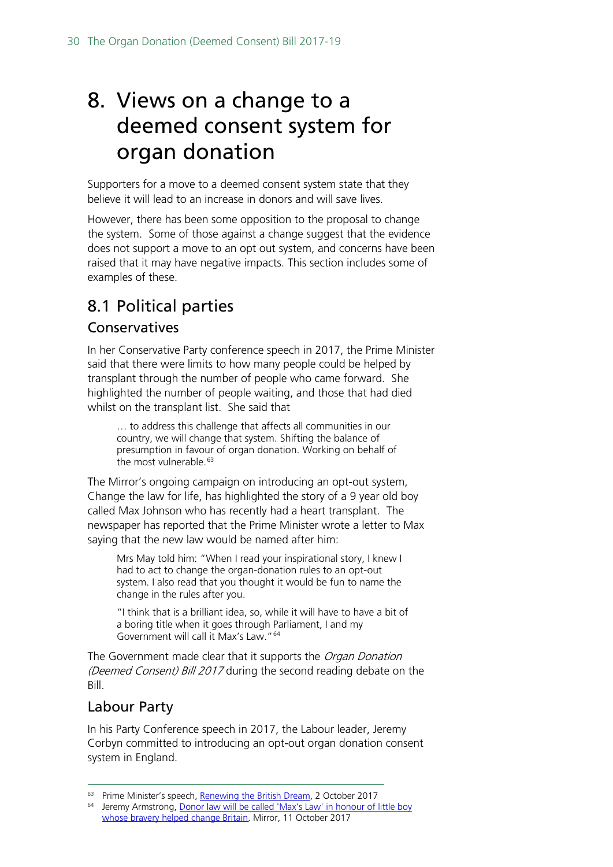# <span id="page-29-0"></span>8. Views on a change to a deemed consent system for organ donation

Supporters for a move to a deemed consent system state that they believe it will lead to an increase in donors and will save lives.

However, there has been some opposition to the proposal to change the system. Some of those against a change suggest that the evidence does not support a move to an opt out system, and concerns have been raised that it may have negative impacts. This section includes some of examples of these.

# <span id="page-29-1"></span>8.1 Political parties

## Conservatives

In her Conservative Party conference speech in 2017, the Prime Minister said that there were limits to how many people could be helped by transplant through the number of people who came forward. She highlighted the number of people waiting, and those that had died whilst on the transplant list. She said that

… to address this challenge that affects all communities in our country, we will change that system. Shifting the balance of presumption in favour of organ donation. Working on behalf of the most vulnerable.<sup>[63](#page-29-2)</sup>

The Mirror's ongoing campaign on introducing an opt-out system, Change the law for life, has highlighted the story of a 9 year old boy called Max Johnson who has recently had a heart transplant. The newspaper has reported that the Prime Minister wrote a letter to Max saying that the new law would be named after him:

Mrs May told him: "When I read your inspirational story, I knew I had to act to change the organ-donation rules to an opt-out system. I also read that you thought it would be fun to name the change in the rules after you.

"I think that is a brilliant idea, so, while it will have to have a bit of a boring title when it goes through Parliament, I and my Government will call it Max's Law."[64](#page-29-3)

The Government made clear that it supports the Organ Donation (Deemed Consent) Bill 2017 during the second reading debate on the Bill.

## Labour Party

In his Party Conference speech in 2017, the Labour leader, Jeremy Corbyn committed to introducing an opt-out organ donation consent system in England.

<sup>&</sup>lt;sup>63</sup> Prime Minister's speech, [Renewing the British Dream,](http://press.conservatives.com/post/166040158480/prime-minister-renewing-the-british-dream) 2 October 2017

<span id="page-29-3"></span><span id="page-29-2"></span><sup>&</sup>lt;sup>64</sup> Jeremy Armstrong, Donor law will be called 'Max's Law' in honour of little boy [whose bravery helped change Britain](https://www.mirror.co.uk/news/politics/donor-law-called-maxs-law-11327971), Mirror, 11 October 2017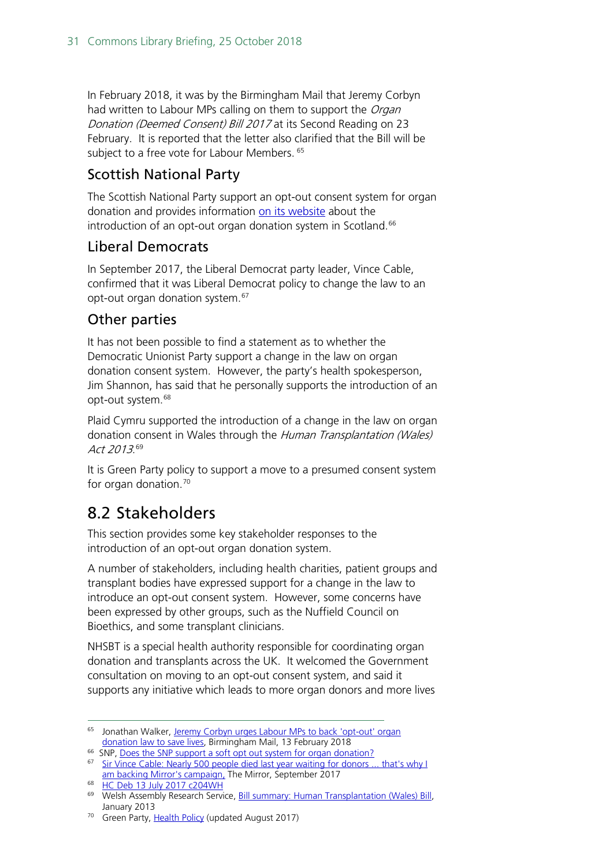In February 2018, it was by the Birmingham Mail that Jeremy Corbyn had written to Labour MPs calling on them to support the *Organ* Donation (Deemed Consent) Bill 2017 at its Second Reading on 23 February. It is reported that the letter also clarified that the Bill will be subject to a free vote for Labour Members. <sup>[65](#page-30-1)</sup>

## Scottish National Party

The Scottish National Party support an opt-out consent system for organ donation and provides information [on its website](https://www.snp.org/pb_does_the_snp_support_a_soft_opt_out_system_for_organ_donation) about the introduction of an opt-out organ donation system in Scotland.<sup>[66](#page-30-2)</sup>

## Liberal Democrats

In September 2017, the Liberal Democrat party leader, Vince Cable, confirmed that it was Liberal Democrat policy to change the law to an opt-out organ donation system.<sup>67</sup>

## Other parties

It has not been possible to find a statement as to whether the Democratic Unionist Party support a change in the law on organ donation consent system. However, the party's health spokesperson, Jim Shannon, has said that he personally supports the introduction of an opt-out system.<sup>[68](#page-30-4)</sup>

Plaid Cymru supported the introduction of a change in the law on organ donation consent in Wales through the Human Transplantation (Wales) Act 2013.<sup>[69](#page-30-5)</sup>

It is Green Party policy to support a move to a presumed consent system for organ donation.<sup>[70](#page-30-6)</sup>

# <span id="page-30-0"></span>8.2 Stakeholders

This section provides some key stakeholder responses to the introduction of an opt-out organ donation system.

A number of stakeholders, including health charities, patient groups and transplant bodies have expressed support for a change in the law to introduce an opt-out consent system. However, some concerns have been expressed by other groups, such as the Nuffield Council on Bioethics, and some transplant clinicians.

NHSBT is a special health authority responsible for coordinating organ donation and transplants across the UK. It welcomed the Government consultation on moving to an opt-out consent system, and said it supports any initiative which leads to more organ donors and more lives

<span id="page-30-1"></span><sup>&</sup>lt;sup>65</sup> Jonathan Walker, Jeremy Corbyn urges Labour MPs to back 'opt-out' organ [donation law to save lives,](https://www.birminghammail.co.uk/news/midlands-news/jeremy-corbyn-urges-labour-mps-14284278) Birmingham Mail, 13 February 2018

<sup>&</sup>lt;sup>66</sup> SNP, [Does the SNP support a soft opt out system for organ donation?](https://www.snp.org/pb_does_the_snp_support_a_soft_opt_out_system_for_organ_donation)

<span id="page-30-3"></span><span id="page-30-2"></span><sup>&</sup>lt;sup>67</sup> Sir Vince Cable: Nearly 500 people died last year waiting for donors ... that's why I [am backing Mirror's campaign,](https://www.mirror.co.uk/news/politics/sir-vince-cable-nearly-500-11209462?utm_content=bufferb3080&utm_medium=social&utm_source=facebook.com&utm_campaign=buffer) The Mirror, September 2017

<sup>68</sup> [HC Deb 13 July 2017 c204WH](https://hansard.parliament.uk/Commons/2017-07-13/debates/17071358000002/OrganDonationOpt-OutSystem#contribution-C42889BD-4E57-4DFA-AEB0-6D04F338E51F)

<span id="page-30-5"></span><span id="page-30-4"></span><sup>69</sup> Welsh Assembly Research Service, [Bill summary: Human Transplantation \(Wales\) Bill,](http://www.assembly.wales/Research%20Documents/Human%20Transplantation%20%28Wales%29%20Bill%20-%20Bill%20Summary-08012013-241915/13-002-English.pdf)  January 2013

<span id="page-30-6"></span><sup>&</sup>lt;sup>70</sup> Green Party, [Health Policy](https://policy.greenparty.org.uk/he.html) (updated August 2017)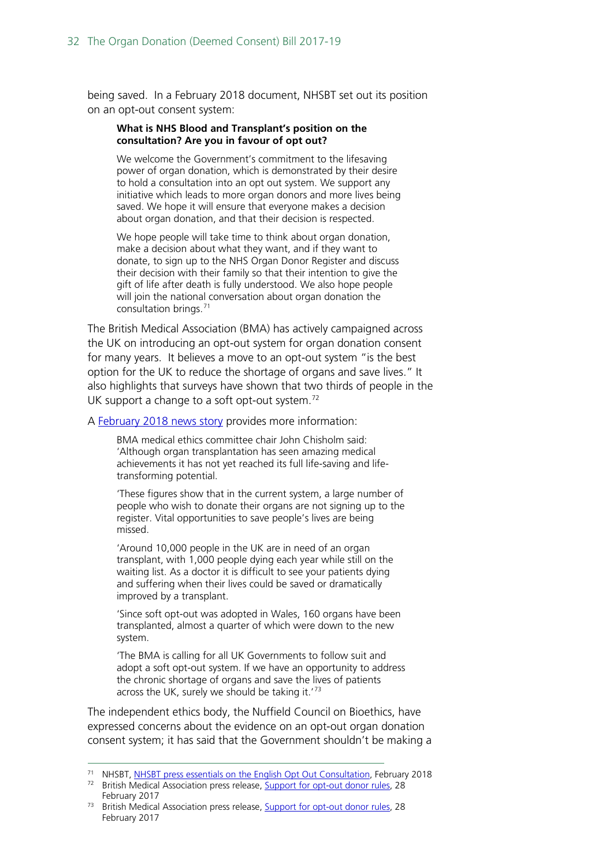being saved. In a February 2018 document, NHSBT set out its position on an opt-out consent system:

#### **What is NHS Blood and Transplant's position on the consultation? Are you in favour of opt out?**

We welcome the Government's commitment to the lifesaving power of organ donation, which is demonstrated by their desire to hold a consultation into an opt out system. We support any initiative which leads to more organ donors and more lives being saved. We hope it will ensure that everyone makes a decision about organ donation, and that their decision is respected.

We hope people will take time to think about organ donation, make a decision about what they want, and if they want to donate, to sign up to the NHS Organ Donor Register and discuss their decision with their family so that their intention to give the gift of life after death is fully understood. We also hope people will join the national conversation about organ donation the consultation brings.[71](#page-31-0)

The British Medical Association (BMA) has actively campaigned across the UK on introducing an opt-out system for organ donation consent for many years. It believes a move to an opt-out system "is the best option for the UK to reduce the shortage of organs and save lives." It also highlights that surveys have shown that two thirds of people in the UK support a change to a soft opt-out system. $72$ 

A [February 2018 news story](https://www.bma.org.uk/news/2017/february/support-for-opt-out-donor-rules) provides more information:

BMA medical ethics committee chair John Chisholm said: 'Although organ transplantation has seen amazing medical achievements it has not yet reached its full life-saving and lifetransforming potential.

'These figures show that in the current system, a large number of people who wish to donate their organs are not signing up to the register. Vital opportunities to save people's lives are being missed.

'Around 10,000 people in the UK are in need of an organ transplant, with 1,000 people dying each year while still on the waiting list. As a doctor it is difficult to see your patients dying and suffering when their lives could be saved or dramatically improved by a transplant.

'Since soft opt-out was adopted in Wales, 160 organs have been transplanted, almost a quarter of which were down to the new system.

'The BMA is calling for all UK Governments to follow suit and adopt a soft opt-out system. If we have an opportunity to address the chronic shortage of organs and save the lives of patients across the UK, surely we should be taking it.<sup>'[73](#page-31-2)</sup>

The independent ethics body, the Nuffield Council on Bioethics, have expressed concerns about the evidence on an opt-out organ donation consent system; it has said that the Government shouldn't be making a

<sup>&</sup>lt;sup>71</sup> NHSBT, [NHSBT press essentials on the English Opt Out Consultation,](https://nhsbtdbe.blob.core.windows.net/umbraco-assets-corp/6097/nhsbt-press-essentials-on-the-english-opt-out-consultation.pdf) February 2018

<span id="page-31-1"></span><span id="page-31-0"></span><sup>&</sup>lt;sup>72</sup> British Medical Association press release, [Support for opt-out donor rules,](https://www.bma.org.uk/news/2017/february/support-for-opt-out-donor-rules) 28 February 2017

<span id="page-31-2"></span><sup>&</sup>lt;sup>73</sup> British Medical Association press release, [Support for opt-out donor rules,](https://www.bma.org.uk/news/2017/february/support-for-opt-out-donor-rules) 28 February 2017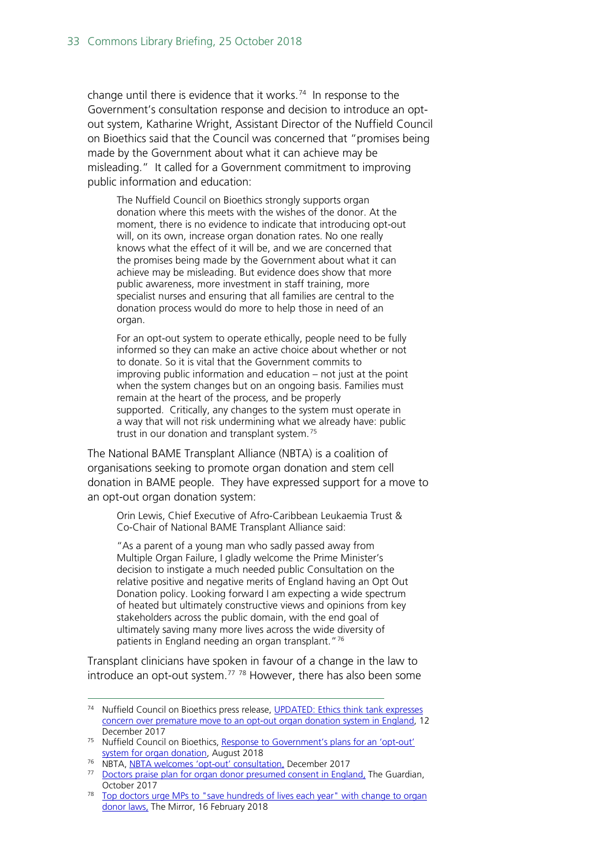change until there is evidence that it works.<sup>74</sup> In response to the Government's consultation response and decision to introduce an optout system, Katharine Wright, Assistant Director of the Nuffield Council on Bioethics said that the Council was concerned that "promises being made by the Government about what it can achieve may be misleading." It called for a Government commitment to improving public information and education:

The Nuffield Council on Bioethics strongly supports organ donation where this meets with the wishes of the donor. At the moment, there is no evidence to indicate that introducing opt-out will, on its own, increase organ donation rates. No one really knows what the effect of it will be, and we are concerned that the promises being made by the Government about what it can achieve may be misleading. But evidence does show that more public awareness, more investment in staff training, more specialist nurses and ensuring that all families are central to the donation process would do more to help those in need of an organ.

For an opt-out system to operate ethically, people need to be fully informed so they can make an active choice about whether or not to donate. So it is vital that the Government commits to improving public information and education – not just at the point when the system changes but on an ongoing basis. Families must remain at the heart of the process, and be properly supported. Critically, any changes to the system must operate in a way that will not risk undermining what we already have: public trust in our donation and transplant system.<sup>[75](#page-32-1)</sup>

The National BAME Transplant Alliance (NBTA) is a coalition of organisations seeking to promote organ donation and stem cell donation in BAME people. They have expressed support for a move to an opt-out organ donation system:

Orin Lewis, Chief Executive of Afro-Caribbean Leukaemia Trust & Co-Chair of National BAME Transplant Alliance said:

"As a parent of a young man who sadly passed away from Multiple Organ Failure, I gladly welcome the Prime Minister's decision to instigate a much needed public Consultation on the relative positive and negative merits of England having an Opt Out Donation policy. Looking forward I am expecting a wide spectrum of heated but ultimately constructive views and opinions from key stakeholders across the public domain, with the end goal of ultimately saving many more lives across the wide diversity of patients in England needing an organ transplant."<sup>[76](#page-32-2)</sup>

Transplant clinicians have spoken in favour of a change in the law to introduce an opt-out system.<sup>[77](#page-32-3)</sup> <sup>[78](#page-32-4)</sup> However, there has also been some

<span id="page-32-0"></span><sup>&</sup>lt;sup>74</sup> Nuffield Council on Bioethics press release, **UPDATED**: Ethics think tank expresses [concern over premature move to an opt-out organ donation system in England,](http://nuffieldbioethics.org/news/2017/ethics-tank-expresses-concern-premature-move-optout-organ) 12 December 2017

<span id="page-32-1"></span><sup>&</sup>lt;sup>75</sup> Nuffield Council on Bioethics, Response to Government's plans for an 'opt-out' [system for organ donation,](http://nuffieldbioethics.org/news/2018/response-governments-plans-optout-system-organ-donation) August 2018

<sup>&</sup>lt;sup>76</sup> NBTA, [NBTA welcomes 'opt-out' consultation,](http://www.nbta-uk.org.uk/2017/12/nbta-welcomes-opt-out-consultation/) December 2017

<span id="page-32-3"></span><span id="page-32-2"></span><sup>&</sup>lt;sup>77</sup> [Doctors praise plan for organ donor presumed consent in England,](https://www.theguardian.com/society/2017/oct/05/doctors-praise-plan-for-organ-donor-presumed-consent-in-england) The Guardian, October 2017

<span id="page-32-4"></span><sup>78</sup> [Top doctors urge MPs to "save hundreds of lives each year" with change to organ](https://www.mirror.co.uk/news/uk-news/top-doctors-urge-mps-save-12032204)  [donor laws,](https://www.mirror.co.uk/news/uk-news/top-doctors-urge-mps-save-12032204) The Mirror, 16 February 2018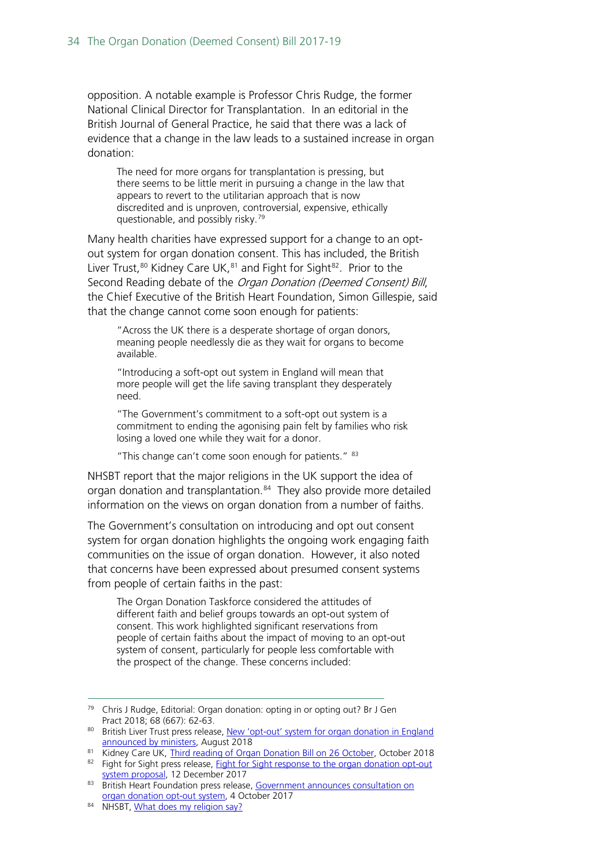opposition. A notable example is Professor Chris Rudge, the former National Clinical Director for Transplantation. In an editorial in the British Journal of General Practice, he said that there was a lack of evidence that a change in the law leads to a sustained increase in organ donation:

The need for more organs for transplantation is pressing, but there seems to be little merit in pursuing a change in the law that appears to revert to the utilitarian approach that is now discredited and is unproven, controversial, expensive, ethically questionable, and possibly risky. [79](#page-33-0)

Many health charities have expressed support for a change to an optout system for organ donation consent. This has included, the British Liver Trust,<sup>[80](#page-33-1)</sup> Kidney Care UK,<sup>[81](#page-33-2)</sup> and Fight for Sight<sup>82</sup>. Prior to the Second Reading debate of the Organ Donation (Deemed Consent) Bill, the Chief Executive of the British Heart Foundation, Simon Gillespie, said that the change cannot come soon enough for patients:

"Across the UK there is a desperate shortage of organ donors, meaning people needlessly die as they wait for organs to become available.

"Introducing a soft-opt out system in England will mean that more people will get the life saving transplant they desperately need.

"The Government's commitment to a soft-opt out system is a commitment to ending the agonising pain felt by families who risk losing a loved one while they wait for a donor.

"This change can't come soon enough for patients." [83](#page-33-4)

NHSBT report that the major religions in the UK support the idea of organ donation and transplantation.<sup>[84](#page-33-5)</sup> They also provide more detailed information on the views on organ donation from a number of faiths.

The Government's consultation on introducing and opt out consent system for organ donation highlights the ongoing work engaging faith communities on the issue of organ donation. However, it also noted that concerns have been expressed about presumed consent systems from people of certain faiths in the past:

The Organ Donation Taskforce considered the attitudes of different faith and belief groups towards an opt-out system of consent. This work highlighted significant reservations from people of certain faiths about the impact of moving to an opt-out system of consent, particularly for people less comfortable with the prospect of the change. These concerns included:

<span id="page-33-0"></span> <sup>79</sup> Chris J Rudge, Editorial: Organ donation: opting in or opting out? Br J Gen Pract 2018; 68 (667): 62-63.

<span id="page-33-1"></span><sup>80</sup> British Liver Trust press release, New 'opt-out' system for organ donation in England [announced by ministers,](https://www.britishlivertrust.org.uk/new-opt-out-system-organ-donation/) August 2018

<span id="page-33-2"></span><sup>81</sup> Kidney Care UK, [Third reading of Organ Donation Bill on 26 October,](https://www.kidneycareuk.org/news-and-campaigns/news/third-reading-organ-donation-bill-26-october/) October 2018 82 Fight for Sight press release, Fight for Sight response to the organ donation opt-out

<span id="page-33-4"></span><span id="page-33-3"></span>[system proposal,](https://www.fightforsight.org.uk/news-and-views/articles/news/fight-for-sight-response-to-the-organ-donation-opt-out-system-proposal/) 12 December 2017 83 British Heart Foundation press release, [Government announces consultation](https://www.bhf.org.uk/news-from-the-bhf/news-archive/2017/october/government-announces-consultation-on-organ-donation-opt-out-system) on

[organ donation opt-out system,](https://www.bhf.org.uk/news-from-the-bhf/news-archive/2017/october/government-announces-consultation-on-organ-donation-opt-out-system) 4 October 2017

<span id="page-33-5"></span><sup>84</sup> NHSBT, [What does my religion say?](https://www.organdonation.nhs.uk/about-donation/what-does-my-religion-say/)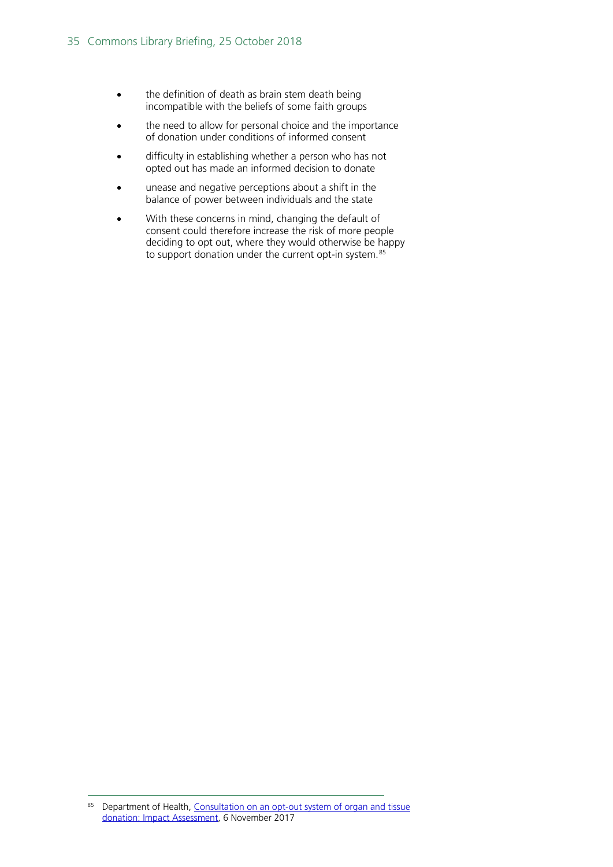- the definition of death as brain stem death being incompatible with the beliefs of some faith groups
- the need to allow for personal choice and the importance of donation under conditions of informed consent
- difficulty in establishing whether a person who has not opted out has made an informed decision to donate
- unease and negative perceptions about a shift in the balance of power between individuals and the state
- With these concerns in mind, changing the default of consent could therefore increase the risk of more people deciding to opt out, where they would otherwise be happy to support donation under the current opt-in system.<sup>[85](#page-34-0)</sup>

<span id="page-34-0"></span><sup>85</sup> Department of Health, Consultation on an opt-out system of organ and tissue [donation: Impact Assessment,](https://www.gov.uk/government/uploads/system/uploads/attachment_data/file/666518/Organ_Donation_Opt-Out_Consultation_Impact_Assessment.pdf) 6 November 2017